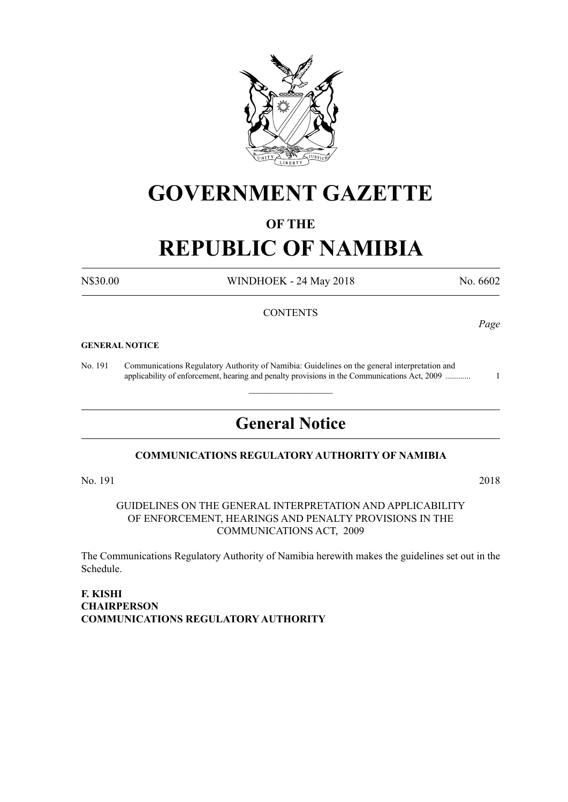

## **GOVERNMENT GAZETTE**

## **OF THE**

# **REPUBLIC OF NAMIBIA**

N\$30.00 WINDHOEK - 24 May 2018 No. 6602

*Page*

### **CONTENTS**

#### **GENERAL NOTICE**

No. 191 Communications Regulatory Authority of Namibia: Guidelines on the general interpretation and applicability of enforcement, hearing and penalty provisions in the Communications Act, 2009 ............ 1

## **General Notice**

 $\overline{\phantom{a}}$  , where  $\overline{\phantom{a}}$ 

## **COMMUNICATIONS REGULATORY AUTHORITY OF NAMIBIA**

No. 191 2018

GUIDELINES ON THE GENERAL INTERPRETATION AND APPLICABILITY OF ENFORCEMENT, HEARINGS AND PENALTY PROVISIONS IN THE COMMUNICATIONS ACT, 2009

The Communications Regulatory Authority of Namibia herewith makes the guidelines set out in the Schedule.

**F. KISHI CHAIRPERSON COMMUNICATIONS REGULATORY AUTHORITY**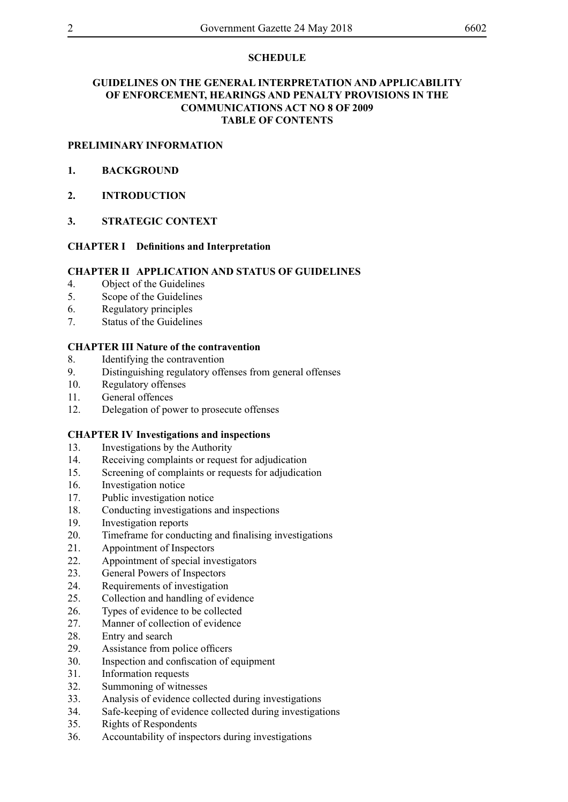## **SCHEDULe**

## **GUIDELINES ON THE GENERAL INTERPRETATION AND APPLICABILITY OF ENFORCEMENT, HEARINGS AND PENALTY PROVISIONS IN THE COMMUNICATIONS ACT NO 8 OF 2009 TABLE OF CONTENTS**

## **PRELIMINARY INFORMATION**

- **1. BACKGROUND**
- **2. INTRODUCTION**
- **3. STRATEGIC CONTEXT**

## **CHAPTER I Definitions and Interpretation**

### **CHAPTER II APPLICATION AND STATUS OF GUIDELINES**

- 4. Object of the Guidelines
- 5. Scope of the Guidelines
- 6. Regulatory principles
- 7. Status of the Guidelines

## **CHAPTER III Nature of the contravention**

- 8. Identifying the contravention
- 9. Distinguishing regulatory offenses from general offenses
- 10. Regulatory offenses
- 11. General offences
- 12. Delegation of power to prosecute offenses

## **CHAPTER IV Investigations and inspections**

- 13. Investigations by the Authority
- 14. Receiving complaints or request for adjudication
- 15. Screening of complaints or requests for adjudication
- 16. Investigation notice
- 17. Public investigation notice
- 18. Conducting investigations and inspections
- 19. Investigation reports
- 20. Timeframe for conducting and finalising investigations
- 21. Appointment of Inspectors
- 22. Appointment of special investigators
- 23. General Powers of Inspectors
- 24. Requirements of investigation
- 25. Collection and handling of evidence
- 26. Types of evidence to be collected
- 27. Manner of collection of evidence
- 28. Entry and search
- 29. Assistance from police officers
- 30. Inspection and confiscation of equipment
- 31. Information requests
- 32. Summoning of witnesses
- 33. Analysis of evidence collected during investigations
- 34. Safe-keeping of evidence collected during investigations
- 35. Rights of Respondents
- 36. Accountability of inspectors during investigations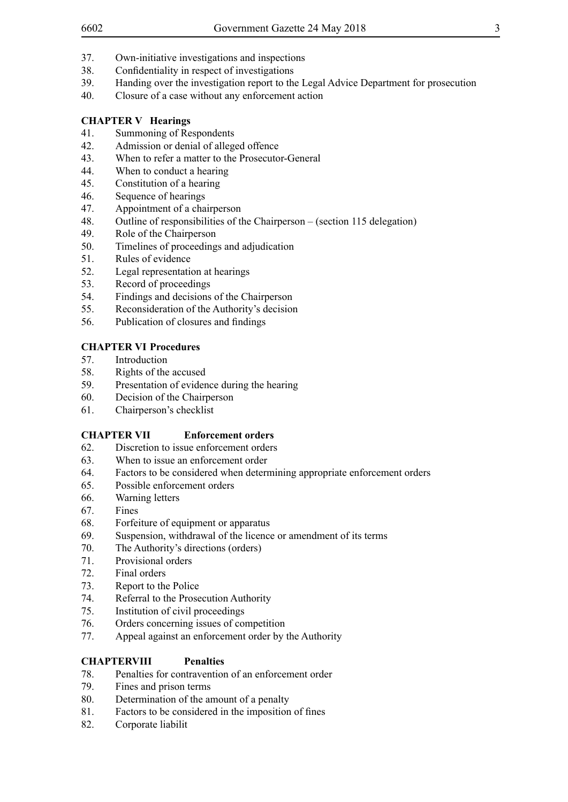- 38. Confidentiality in respect of investigations
- 39. Handing over the investigation report to the Legal Advice Department for prosecution
- 40. Closure of a case without any enforcement action

## **CHAPTER V Hearings**

- 41. Summoning of Respondents
- 42. Admission or denial of alleged offence
- 43. When to refer a matter to the Prosecutor-General
- 44. When to conduct a hearing
- 45. Constitution of a hearing
- 46. Sequence of hearings
- 47. Appointment of a chairperson
- 48. Outline of responsibilities of the Chairperson (section 115 delegation)
- 49. Role of the Chairperson
- 50. Timelines of proceedings and adjudication
- 51. Rules of evidence
- 52. Legal representation at hearings
- 53. Record of proceedings
- 54. Findings and decisions of the Chairperson
- 55. Reconsideration of the Authority's decision
- 56. Publication of closures and findings

## **CHAPTER VI Procedures**

- 57. Introduction
- 58. Rights of the accused
- 59. Presentation of evidence during the hearing
- 60. Decision of the Chairperson
- 61. Chairperson's checklist

## **CHAPTER VII Enforcement orders**

- 62. Discretion to issue enforcement orders
- 63. When to issue an enforcement order
- 64. Factors to be considered when determining appropriate enforcement orders
- 65. Possible enforcement orders
- 66. Warning letters
- 67. Fines
- 68. Forfeiture of equipment or apparatus
- 69. Suspension, withdrawal of the licence or amendment of its terms
- 70. The Authority's directions (orders)
- 71. Provisional orders
- 72. Final orders
- 73. Report to the Police
- 74. Referral to the Prosecution Authority
- 75. Institution of civil proceedings
- 76. Orders concerning issues of competition
- 77. Appeal against an enforcement order by the Authority

## **CHAPTERVIII Penalties**

- 78. Penalties for contravention of an enforcement order
- 79. Fines and prison terms
- 80. Determination of the amount of a penalty
- 81. Factors to be considered in the imposition of fines
- 82. Corporate liabilit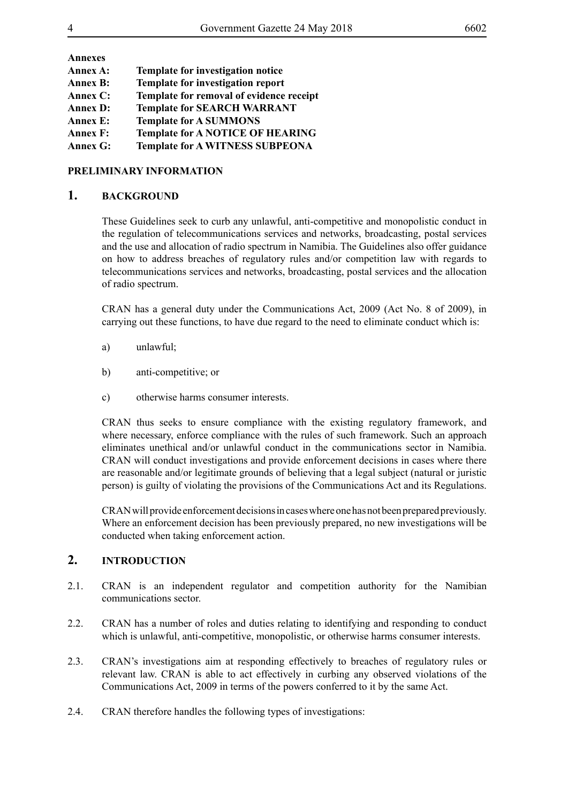| Template for investigation notice        |
|------------------------------------------|
| Template for investigation report        |
| Template for removal of evidence receipt |
| <b>Template for SEARCH WARRANT</b>       |
| <b>Template for A SUMMONS</b>            |
| <b>Template for A NOTICE OF HEARING</b>  |
| <b>Template for A WITNESS SUBPEONA</b>   |
|                                          |

### **PRELIMINARY INFORMATION**

## **1. BACKGROUND**

These Guidelines seek to curb any unlawful, anti-competitive and monopolistic conduct in the regulation of telecommunications services and networks, broadcasting, postal services and the use and allocation of radio spectrum in Namibia. The Guidelines also offer guidance on how to address breaches of regulatory rules and/or competition law with regards to telecommunications services and networks, broadcasting, postal services and the allocation of radio spectrum.

CRAN has a general duty under the Communications Act, 2009 (Act No. 8 of 2009), in carrying out these functions, to have due regard to the need to eliminate conduct which is:

- a) unlawful;
- b) anti-competitive; or
- c) otherwise harms consumer interests.

CRAN thus seeks to ensure compliance with the existing regulatory framework, and where necessary, enforce compliance with the rules of such framework. Such an approach eliminates unethical and/or unlawful conduct in the communications sector in Namibia. CRAN will conduct investigations and provide enforcement decisions in cases where there are reasonable and/or legitimate grounds of believing that a legal subject (natural or juristic person) is guilty of violating the provisions of the Communications Act and its Regulations.

CRAN will provide enforcement decisions in cases where one has not been prepared previously. Where an enforcement decision has been previously prepared, no new investigations will be conducted when taking enforcement action.

## **2. INTRODUCTION**

- 2.1. CRAN is an independent regulator and competition authority for the Namibian communications sector.
- 2.2. CRAN has a number of roles and duties relating to identifying and responding to conduct which is unlawful, anti-competitive, monopolistic, or otherwise harms consumer interests.
- 2.3. CRAN's investigations aim at responding effectively to breaches of regulatory rules or relevant law. CRAN is able to act effectively in curbing any observed violations of the Communications Act, 2009 in terms of the powers conferred to it by the same Act.
- 2.4. CRAN therefore handles the following types of investigations: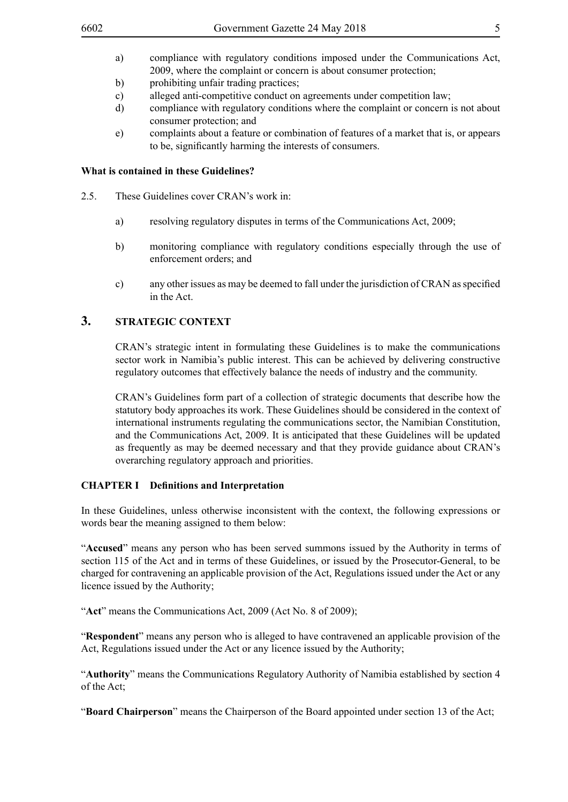- a) compliance with regulatory conditions imposed under the Communications Act, 2009, where the complaint or concern is about consumer protection;
- b) prohibiting unfair trading practices;
- c) alleged anti-competitive conduct on agreements under competition law;
- d) compliance with regulatory conditions where the complaint or concern is not about consumer protection; and
- e) complaints about a feature or combination of features of a market that is, or appears to be, significantly harming the interests of consumers.

#### **What is contained in these Guidelines?**

- 2.5. These Guidelines cover CRAN's work in:
	- a) resolving regulatory disputes in terms of the Communications Act, 2009;
	- b) monitoring compliance with regulatory conditions especially through the use of enforcement orders; and
	- c) any other issues as may be deemed to fall under the jurisdiction of CRAN as specified in the Act.

## **3. STRATEGIC CONTEXT**

CRAN's strategic intent in formulating these Guidelines is to make the communications sector work in Namibia's public interest. This can be achieved by delivering constructive regulatory outcomes that effectively balance the needs of industry and the community.

CRAN's Guidelines form part of a collection of strategic documents that describe how the statutory body approaches its work. These Guidelines should be considered in the context of international instruments regulating the communications sector, the Namibian Constitution, and the Communications Act, 2009. It is anticipated that these Guidelines will be updated as frequently as may be deemed necessary and that they provide guidance about CRAN's overarching regulatory approach and priorities.

#### **CHAPTER I Definitions and Interpretation**

In these Guidelines, unless otherwise inconsistent with the context, the following expressions or words bear the meaning assigned to them below:

"**Accused**" means any person who has been served summons issued by the Authority in terms of section 115 of the Act and in terms of these Guidelines, or issued by the Prosecutor-General, to be charged for contravening an applicable provision of the Act, Regulations issued under the Act or any licence issued by the Authority;

"**Act**" means the Communications Act, 2009 (Act No. 8 of 2009);

"**Respondent**" means any person who is alleged to have contravened an applicable provision of the Act, Regulations issued under the Act or any licence issued by the Authority;

"**Authority**" means the Communications Regulatory Authority of Namibia established by section 4 of the Act;

"**Board Chairperson**" means the Chairperson of the Board appointed under section 13 of the Act;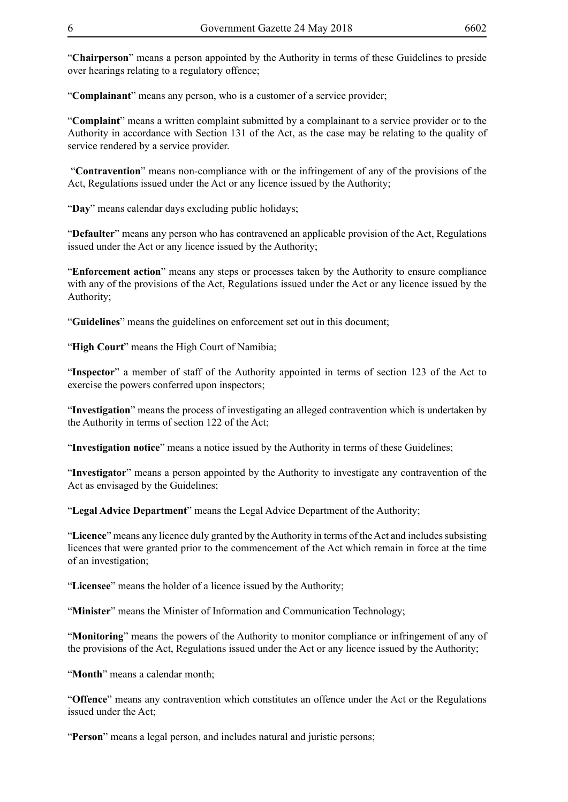"**Chairperson**" means a person appointed by the Authority in terms of these Guidelines to preside over hearings relating to a regulatory offence;

"**Complainant**" means any person, who is a customer of a service provider;

"**Complaint**" means a written complaint submitted by a complainant to a service provider or to the Authority in accordance with Section 131 of the Act, as the case may be relating to the quality of service rendered by a service provider.

 "**Contravention**" means non-compliance with or the infringement of any of the provisions of the Act, Regulations issued under the Act or any licence issued by the Authority;

"**Day**" means calendar days excluding public holidays;

"**Defaulter**" means any person who has contravened an applicable provision of the Act, Regulations issued under the Act or any licence issued by the Authority;

"**Enforcement action**" means any steps or processes taken by the Authority to ensure compliance with any of the provisions of the Act, Regulations issued under the Act or any licence issued by the Authority;

"**Guidelines**" means the guidelines on enforcement set out in this document;

"**High Court**" means the High Court of Namibia;

"**Inspector**" a member of staff of the Authority appointed in terms of section 123 of the Act to exercise the powers conferred upon inspectors;

"**Investigation**" means the process of investigating an alleged contravention which is undertaken by the Authority in terms of section 122 of the Act;

"**Investigation notice**" means a notice issued by the Authority in terms of these Guidelines;

"**Investigator**" means a person appointed by the Authority to investigate any contravention of the Act as envisaged by the Guidelines;

"**Legal Advice Department**" means the Legal Advice Department of the Authority;

"**Licence**" means any licence duly granted by the Authority in terms of the Act and includes subsisting licences that were granted prior to the commencement of the Act which remain in force at the time of an investigation;

"**Licensee**" means the holder of a licence issued by the Authority;

"**Minister**" means the Minister of Information and Communication Technology;

"**Monitoring**" means the powers of the Authority to monitor compliance or infringement of any of the provisions of the Act, Regulations issued under the Act or any licence issued by the Authority;

"**Month**" means a calendar month;

"**Offence**" means any contravention which constitutes an offence under the Act or the Regulations issued under the Act;

"**Person**" means a legal person, and includes natural and juristic persons;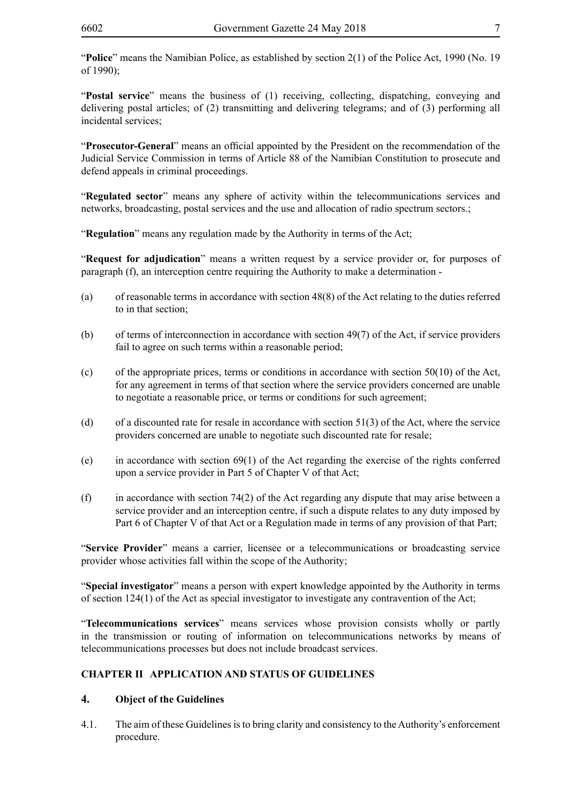"**Police**" means the Namibian Police, as established by section 2(1) of the Police Act, 1990 (No. 19 of 1990);

"**Postal service**" means the business of (1) receiving, collecting, dispatching, conveying and delivering postal articles; of (2) transmitting and delivering telegrams; and of (3) performing all incidental services;

"**Prosecutor-General**" means an official appointed by the President on the recommendation of the Judicial Service Commission in terms of Article 88 of the Namibian Constitution to prosecute and defend appeals in criminal proceedings.

"**Regulated sector**" means any sphere of activity within the telecommunications services and networks, broadcasting, postal services and the use and allocation of radio spectrum sectors.;

"**Regulation**" means any regulation made by the Authority in terms of the Act;

"**Request for adjudication**" means a written request by a service provider or, for purposes of paragraph (f), an interception centre requiring the Authority to make a determination -

- (a) of reasonable terms in accordance with section 48(8) of the Act relating to the duties referred to in that section;
- (b) of terms of interconnection in accordance with section 49(7) of the Act, if service providers fail to agree on such terms within a reasonable period;
- (c) of the appropriate prices, terms or conditions in accordance with section 50(10) of the Act, for any agreement in terms of that section where the service providers concerned are unable to negotiate a reasonable price, or terms or conditions for such agreement;
- (d) of a discounted rate for resale in accordance with section 51(3) of the Act, where the service providers concerned are unable to negotiate such discounted rate for resale;
- (e) in accordance with section 69(1) of the Act regarding the exercise of the rights conferred upon a service provider in Part 5 of Chapter V of that Act;
- (f) in accordance with section 74(2) of the Act regarding any dispute that may arise between a service provider and an interception centre, if such a dispute relates to any duty imposed by Part 6 of Chapter V of that Act or a Regulation made in terms of any provision of that Part;

"**Service Provider**" means a carrier, licensee or a telecommunications or broadcasting service provider whose activities fall within the scope of the Authority;

"**Special investigator**" means a person with expert knowledge appointed by the Authority in terms of section 124(1) of the Act as special investigator to investigate any contravention of the Act;

"**Telecommunications services**" means services whose provision consists wholly or partly in the transmission or routing of information on telecommunications networks by means of telecommunications processes but does not include broadcast services.

## **CHAPTER II APPLICATION AND STATUS OF GUIDELINES**

## **4. Object of the Guidelines**

4.1. The aim of these Guidelines is to bring clarity and consistency to the Authority's enforcement procedure.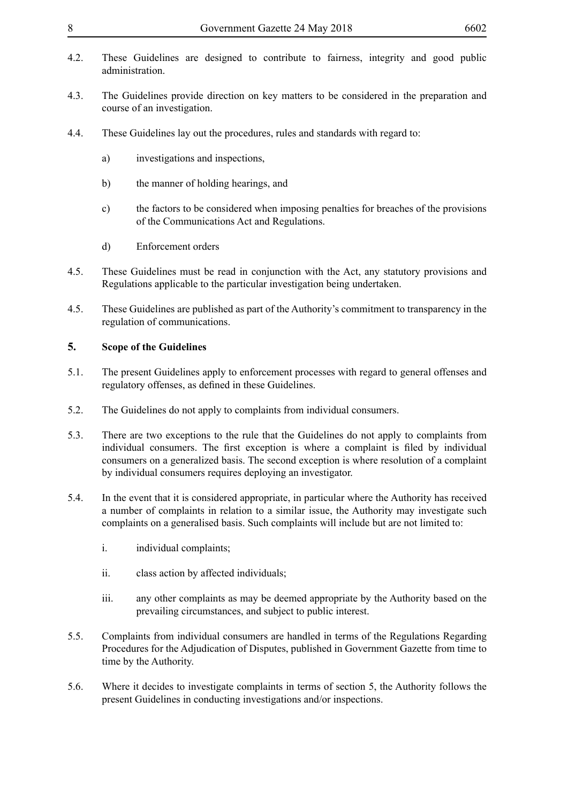- 4.2. These Guidelines are designed to contribute to fairness, integrity and good public administration.
- 4.3. The Guidelines provide direction on key matters to be considered in the preparation and course of an investigation.
- 4.4. These Guidelines lay out the procedures, rules and standards with regard to:
	- a) investigations and inspections,
	- b) the manner of holding hearings, and
	- c) the factors to be considered when imposing penalties for breaches of the provisions of the Communications Act and Regulations.
	- d) Enforcement orders
- 4.5. These Guidelines must be read in conjunction with the Act, any statutory provisions and Regulations applicable to the particular investigation being undertaken.
- 4.5. These Guidelines are published as part of the Authority's commitment to transparency in the regulation of communications.

## **5. Scope of the Guidelines**

- 5.1. The present Guidelines apply to enforcement processes with regard to general offenses and regulatory offenses, as defined in these Guidelines.
- 5.2. The Guidelines do not apply to complaints from individual consumers.
- 5.3. There are two exceptions to the rule that the Guidelines do not apply to complaints from individual consumers. The first exception is where a complaint is filed by individual consumers on a generalized basis. The second exception is where resolution of a complaint by individual consumers requires deploying an investigator.
- 5.4. In the event that it is considered appropriate, in particular where the Authority has received a number of complaints in relation to a similar issue, the Authority may investigate such complaints on a generalised basis. Such complaints will include but are not limited to:
	- i. individual complaints;
	- ii. class action by affected individuals;
	- iii. any other complaints as may be deemed appropriate by the Authority based on the prevailing circumstances, and subject to public interest.
- 5.5. Complaints from individual consumers are handled in terms of the Regulations Regarding Procedures for the Adjudication of Disputes, published in Government Gazette from time to time by the Authority.
- 5.6. Where it decides to investigate complaints in terms of section 5, the Authority follows the present Guidelines in conducting investigations and/or inspections.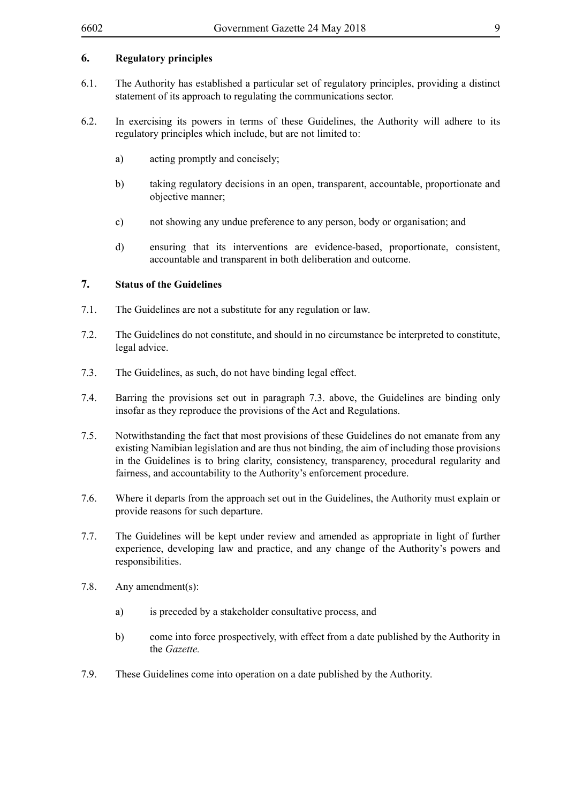## **6. Regulatory principles**

- 6.1. The Authority has established a particular set of regulatory principles, providing a distinct statement of its approach to regulating the communications sector.
- 6.2. In exercising its powers in terms of these Guidelines, the Authority will adhere to its regulatory principles which include, but are not limited to:
	- a) acting promptly and concisely;
	- b) taking regulatory decisions in an open, transparent, accountable, proportionate and objective manner;
	- c) not showing any undue preference to any person, body or organisation; and
	- d) ensuring that its interventions are evidence-based, proportionate, consistent, accountable and transparent in both deliberation and outcome.

### **7. Status of the Guidelines**

- 7.1. The Guidelines are not a substitute for any regulation or law.
- 7.2. The Guidelines do not constitute, and should in no circumstance be interpreted to constitute, legal advice.
- 7.3. The Guidelines, as such, do not have binding legal effect.
- 7.4. Barring the provisions set out in paragraph 7.3. above, the Guidelines are binding only insofar as they reproduce the provisions of the Act and Regulations.
- 7.5. Notwithstanding the fact that most provisions of these Guidelines do not emanate from any existing Namibian legislation and are thus not binding, the aim of including those provisions in the Guidelines is to bring clarity, consistency, transparency, procedural regularity and fairness, and accountability to the Authority's enforcement procedure.
- 7.6. Where it departs from the approach set out in the Guidelines, the Authority must explain or provide reasons for such departure.
- 7.7. The Guidelines will be kept under review and amended as appropriate in light of further experience, developing law and practice, and any change of the Authority's powers and responsibilities.
- 7.8. Any amendment(s):
	- a) is preceded by a stakeholder consultative process, and
	- b) come into force prospectively, with effect from a date published by the Authority in the *Gazette.*
- 7.9. These Guidelines come into operation on a date published by the Authority.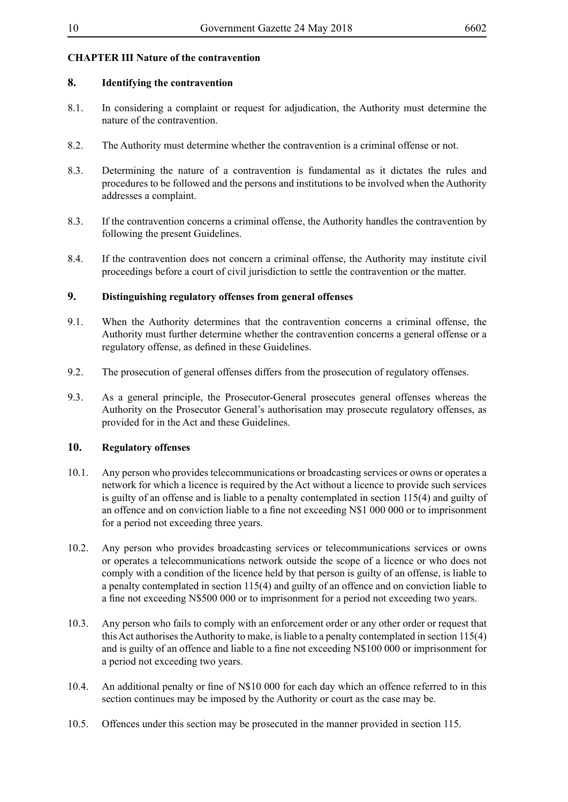## **CHAPTER III Nature of the contravention**

## **8. Identifying the contravention**

- 8.1. In considering a complaint or request for adjudication, the Authority must determine the nature of the contravention.
- 8.2. The Authority must determine whether the contravention is a criminal offense or not.
- 8.3. Determining the nature of a contravention is fundamental as it dictates the rules and procedures to be followed and the persons and institutions to be involved when the Authority addresses a complaint.
- 8.3. If the contravention concerns a criminal offense, the Authority handles the contravention by following the present Guidelines.
- 8.4. If the contravention does not concern a criminal offense, the Authority may institute civil proceedings before a court of civil jurisdiction to settle the contravention or the matter.

### **9. Distinguishing regulatory offenses from general offenses**

- 9.1. When the Authority determines that the contravention concerns a criminal offense, the Authority must further determine whether the contravention concerns a general offense or a regulatory offense, as defined in these Guidelines.
- 9.2. The prosecution of general offenses differs from the prosecution of regulatory offenses.
- 9.3. As a general principle, the Prosecutor-General prosecutes general offenses whereas the Authority on the Prosecutor General's authorisation may prosecute regulatory offenses, as provided for in the Act and these Guidelines.

#### **10. Regulatory offenses**

- 10.1. Any person who provides telecommunications or broadcasting services or owns or operates a network for which a licence is required by the Act without a licence to provide such services is guilty of an offense and is liable to a penalty contemplated in section 115(4) and guilty of an offence and on conviction liable to a fine not exceeding N\$1 000 000 or to imprisonment for a period not exceeding three years.
- 10.2. Any person who provides broadcasting services or telecommunications services or owns or operates a telecommunications network outside the scope of a licence or who does not comply with a condition of the licence held by that person is guilty of an offense, is liable to a penalty contemplated in section 115(4) and guilty of an offence and on conviction liable to a fine not exceeding N\$500 000 or to imprisonment for a period not exceeding two years.
- 10.3. Any person who fails to comply with an enforcement order or any other order or request that this Act authorises the Authority to make, is liable to a penalty contemplated in section 115(4) and is guilty of an offence and liable to a fine not exceeding N\$100 000 or imprisonment for a period not exceeding two years.
- 10.4. An additional penalty or fine of N\$10 000 for each day which an offence referred to in this section continues may be imposed by the Authority or court as the case may be.
- 10.5. Offences under this section may be prosecuted in the manner provided in section 115.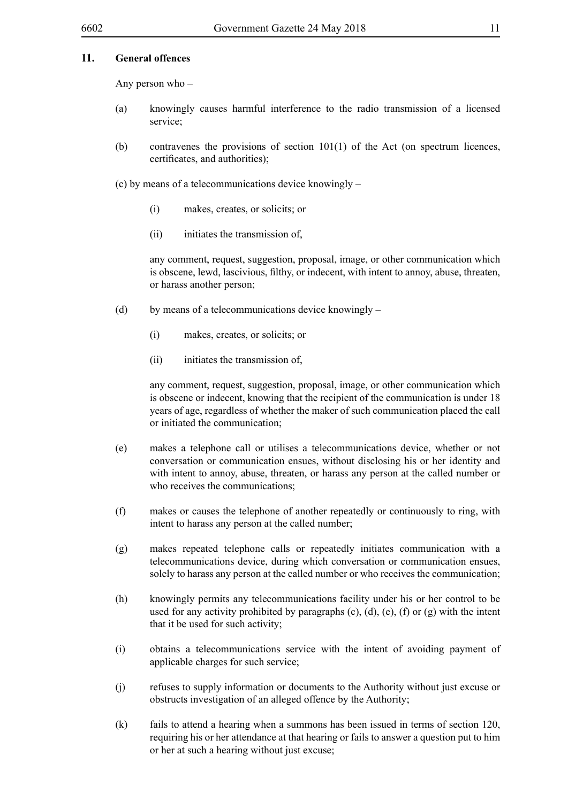## **11. General offences**

Any person who –

- (a) knowingly causes harmful interference to the radio transmission of a licensed service;
- (b) contravenes the provisions of section  $101(1)$  of the Act (on spectrum licences, certificates, and authorities);
- (c) by means of a telecommunications device knowingly
	- (i) makes, creates, or solicits; or
	- (ii) initiates the transmission of,

any comment, request, suggestion, proposal, image, or other communication which is obscene, lewd, lascivious, filthy, or indecent, with intent to annoy, abuse, threaten, or harass another person;

- (d) by means of a telecommunications device knowingly
	- (i) makes, creates, or solicits; or
	- (ii) initiates the transmission of,

any comment, request, suggestion, proposal, image, or other communication which is obscene or indecent, knowing that the recipient of the communication is under 18 years of age, regardless of whether the maker of such communication placed the call or initiated the communication;

- (e) makes a telephone call or utilises a telecommunications device, whether or not conversation or communication ensues, without disclosing his or her identity and with intent to annoy, abuse, threaten, or harass any person at the called number or who receives the communications;
- (f) makes or causes the telephone of another repeatedly or continuously to ring, with intent to harass any person at the called number;
- (g) makes repeated telephone calls or repeatedly initiates communication with a telecommunications device, during which conversation or communication ensues, solely to harass any person at the called number or who receives the communication;
- (h) knowingly permits any telecommunications facility under his or her control to be used for any activity prohibited by paragraphs  $(c)$ ,  $(d)$ ,  $(e)$ ,  $(f)$  or  $(g)$  with the intent that it be used for such activity;
- (i) obtains a telecommunications service with the intent of avoiding payment of applicable charges for such service;
- (j) refuses to supply information or documents to the Authority without just excuse or obstructs investigation of an alleged offence by the Authority;
- (k) fails to attend a hearing when a summons has been issued in terms of section 120, requiring his or her attendance at that hearing or fails to answer a question put to him or her at such a hearing without just excuse;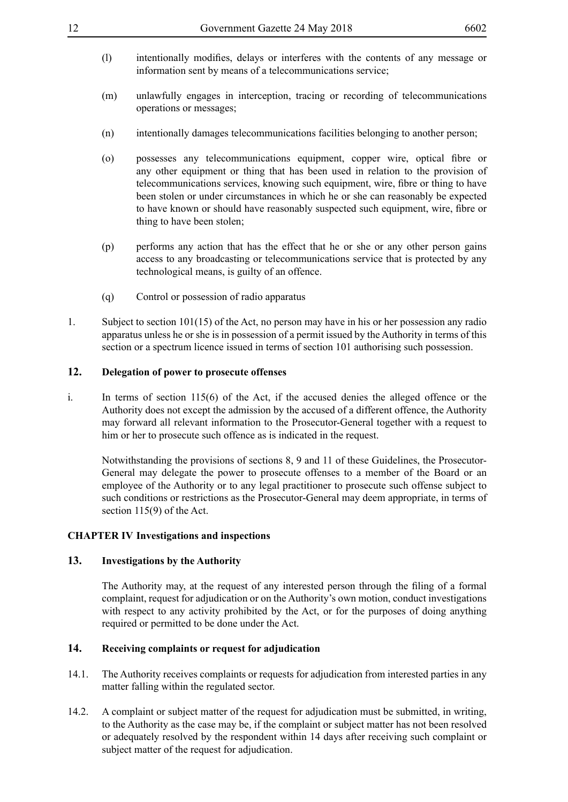- (l) intentionally modifies, delays or interferes with the contents of any message or information sent by means of a telecommunications service;
- (m) unlawfully engages in interception, tracing or recording of telecommunications operations or messages;
- (n) intentionally damages telecommunications facilities belonging to another person;
- (o) possesses any telecommunications equipment, copper wire, optical fibre or any other equipment or thing that has been used in relation to the provision of telecommunications services, knowing such equipment, wire, fibre or thing to have been stolen or under circumstances in which he or she can reasonably be expected to have known or should have reasonably suspected such equipment, wire, fibre or thing to have been stolen;
- (p) performs any action that has the effect that he or she or any other person gains access to any broadcasting or telecommunications service that is protected by any technological means, is guilty of an offence.
- (q) Control or possession of radio apparatus
- 1. Subject to section 101(15) of the Act, no person may have in his or her possession any radio apparatus unless he or she is in possession of a permit issued by the Authority in terms of this section or a spectrum licence issued in terms of section 101 authorising such possession.

### **12. Delegation of power to prosecute offenses**

i. In terms of section 115(6) of the Act, if the accused denies the alleged offence or the Authority does not except the admission by the accused of a different offence, the Authority may forward all relevant information to the Prosecutor-General together with a request to him or her to prosecute such offence as is indicated in the request.

Notwithstanding the provisions of sections 8, 9 and 11 of these Guidelines, the Prosecutor-General may delegate the power to prosecute offenses to a member of the Board or an employee of the Authority or to any legal practitioner to prosecute such offense subject to such conditions or restrictions as the Prosecutor-General may deem appropriate, in terms of section 115(9) of the Act.

#### **CHAPTER IV Investigations and inspections**

## **13. Investigations by the Authority**

The Authority may, at the request of any interested person through the filing of a formal complaint, request for adjudication or on the Authority's own motion, conduct investigations with respect to any activity prohibited by the Act, or for the purposes of doing anything required or permitted to be done under the Act.

## **14. Receiving complaints or request for adjudication**

- 14.1. The Authority receives complaints or requests for adjudication from interested parties in any matter falling within the regulated sector.
- 14.2. A complaint or subject matter of the request for adjudication must be submitted, in writing, to the Authority as the case may be, if the complaint or subject matter has not been resolved or adequately resolved by the respondent within 14 days after receiving such complaint or subject matter of the request for adjudication.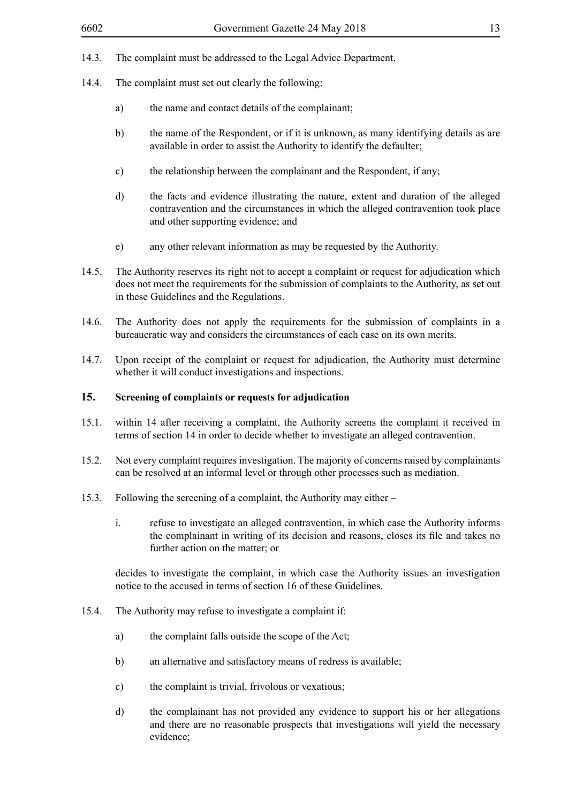- 14.3. The complaint must be addressed to the Legal Advice Department.
- 14.4. The complaint must set out clearly the following:
	- a) the name and contact details of the complainant;
	- b) the name of the Respondent, or if it is unknown, as many identifying details as are available in order to assist the Authority to identify the defaulter;
	- c) the relationship between the complainant and the Respondent, if any;
	- d) the facts and evidence illustrating the nature, extent and duration of the alleged contravention and the circumstances in which the alleged contravention took place and other supporting evidence; and
	- e) any other relevant information as may be requested by the Authority.
- 14.5. The Authority reserves its right not to accept a complaint or request for adjudication which does not meet the requirements for the submission of complaints to the Authority, as set out in these Guidelines and the Regulations.
- 14.6. The Authority does not apply the requirements for the submission of complaints in a bureaucratic way and considers the circumstances of each case on its own merits.
- 14.7. Upon receipt of the complaint or request for adjudication, the Authority must determine whether it will conduct investigations and inspections.

## **15. Screening of complaints or requests for adjudication**

- 15.1. within 14 after receiving a complaint, the Authority screens the complaint it received in terms of section 14 in order to decide whether to investigate an alleged contravention.
- 15.2. Not every complaint requires investigation. The majority of concerns raised by complainants can be resolved at an informal level or through other processes such as mediation.
- 15.3. Following the screening of a complaint, the Authority may either
	- i. refuse to investigate an alleged contravention, in which case the Authority informs the complainant in writing of its decision and reasons, closes its file and takes no further action on the matter; or

decides to investigate the complaint, in which case the Authority issues an investigation notice to the accused in terms of section 16 of these Guidelines.

- 15.4. The Authority may refuse to investigate a complaint if:
	- a) the complaint falls outside the scope of the Act;
	- b) an alternative and satisfactory means of redress is available;
	- c) the complaint is trivial, frivolous or vexatious;
	- d) the complainant has not provided any evidence to support his or her allegations and there are no reasonable prospects that investigations will yield the necessary evidence;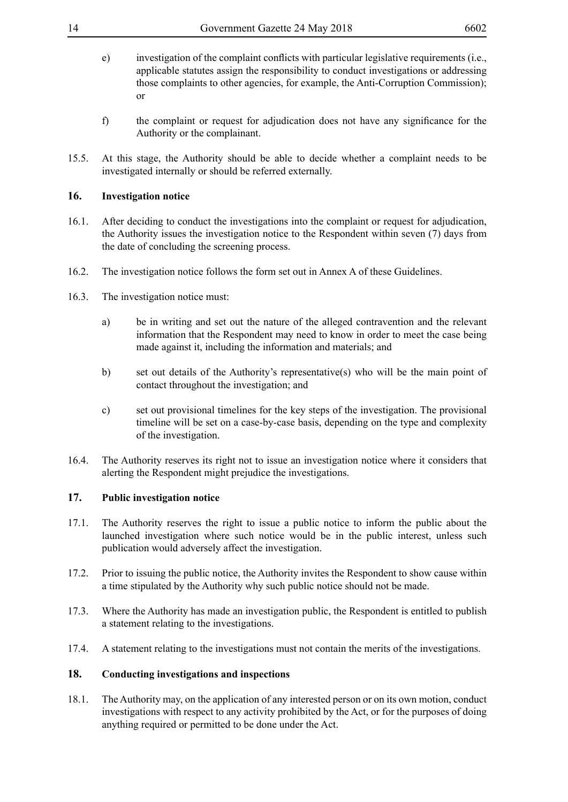- e) investigation of the complaint conflicts with particular legislative requirements (i.e., applicable statutes assign the responsibility to conduct investigations or addressing those complaints to other agencies, for example, the Anti-Corruption Commission); or
- f) the complaint or request for adjudication does not have any significance for the Authority or the complainant.
- 15.5. At this stage, the Authority should be able to decide whether a complaint needs to be investigated internally or should be referred externally.

## **16. Investigation notice**

- 16.1. After deciding to conduct the investigations into the complaint or request for adjudication, the Authority issues the investigation notice to the Respondent within seven (7) days from the date of concluding the screening process.
- 16.2. The investigation notice follows the form set out in Annex A of these Guidelines.
- 16.3. The investigation notice must:
	- a) be in writing and set out the nature of the alleged contravention and the relevant information that the Respondent may need to know in order to meet the case being made against it, including the information and materials; and
	- b) set out details of the Authority's representative(s) who will be the main point of contact throughout the investigation; and
	- c) set out provisional timelines for the key steps of the investigation. The provisional timeline will be set on a case-by-case basis, depending on the type and complexity of the investigation.
- 16.4. The Authority reserves its right not to issue an investigation notice where it considers that alerting the Respondent might prejudice the investigations.

## **17. Public investigation notice**

- 17.1. The Authority reserves the right to issue a public notice to inform the public about the launched investigation where such notice would be in the public interest, unless such publication would adversely affect the investigation.
- 17.2. Prior to issuing the public notice, the Authority invites the Respondent to show cause within a time stipulated by the Authority why such public notice should not be made.
- 17.3. Where the Authority has made an investigation public, the Respondent is entitled to publish a statement relating to the investigations.
- 17.4. A statement relating to the investigations must not contain the merits of the investigations.

#### **18. Conducting investigations and inspections**

18.1. The Authority may, on the application of any interested person or on its own motion, conduct investigations with respect to any activity prohibited by the Act, or for the purposes of doing anything required or permitted to be done under the Act.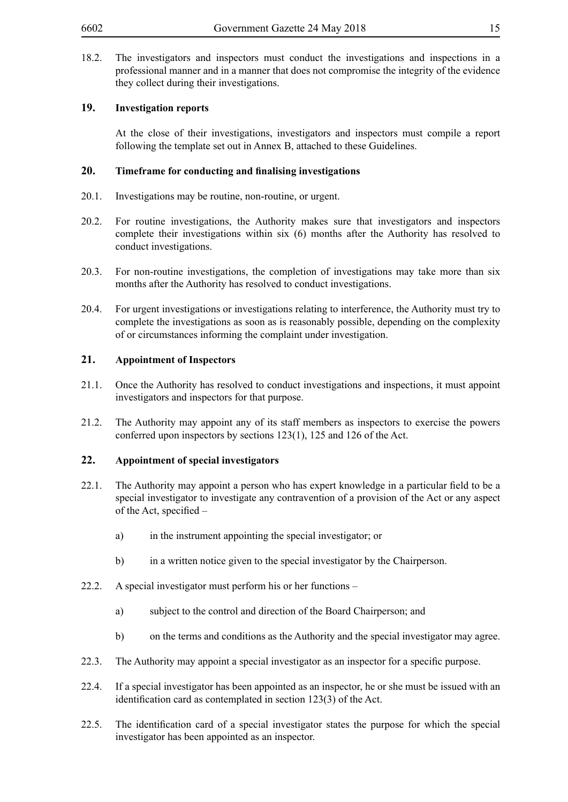18.2. The investigators and inspectors must conduct the investigations and inspections in a professional manner and in a manner that does not compromise the integrity of the evidence they collect during their investigations.

## **19. Investigation reports**

At the close of their investigations, investigators and inspectors must compile a report following the template set out in Annex B, attached to these Guidelines.

#### **20. Timeframe for conducting and finalising investigations**

- 20.1. Investigations may be routine, non-routine, or urgent.
- 20.2. For routine investigations, the Authority makes sure that investigators and inspectors complete their investigations within six (6) months after the Authority has resolved to conduct investigations.
- 20.3. For non-routine investigations, the completion of investigations may take more than six months after the Authority has resolved to conduct investigations.
- 20.4. For urgent investigations or investigations relating to interference, the Authority must try to complete the investigations as soon as is reasonably possible, depending on the complexity of or circumstances informing the complaint under investigation.

## **21. Appointment of Inspectors**

- 21.1. Once the Authority has resolved to conduct investigations and inspections, it must appoint investigators and inspectors for that purpose.
- 21.2. The Authority may appoint any of its staff members as inspectors to exercise the powers conferred upon inspectors by sections 123(1), 125 and 126 of the Act.

#### **22. Appointment of special investigators**

- 22.1. The Authority may appoint a person who has expert knowledge in a particular field to be a special investigator to investigate any contravention of a provision of the Act or any aspect of the Act, specified –
	- a) in the instrument appointing the special investigator; or
	- b) in a written notice given to the special investigator by the Chairperson.
- 22.2. A special investigator must perform his or her functions
	- a) subject to the control and direction of the Board Chairperson; and
	- b) on the terms and conditions as the Authority and the special investigator may agree.
- 22.3. The Authority may appoint a special investigator as an inspector for a specific purpose.
- 22.4. If a special investigator has been appointed as an inspector, he or she must be issued with an identification card as contemplated in section 123(3) of the Act.
- 22.5. The identification card of a special investigator states the purpose for which the special investigator has been appointed as an inspector.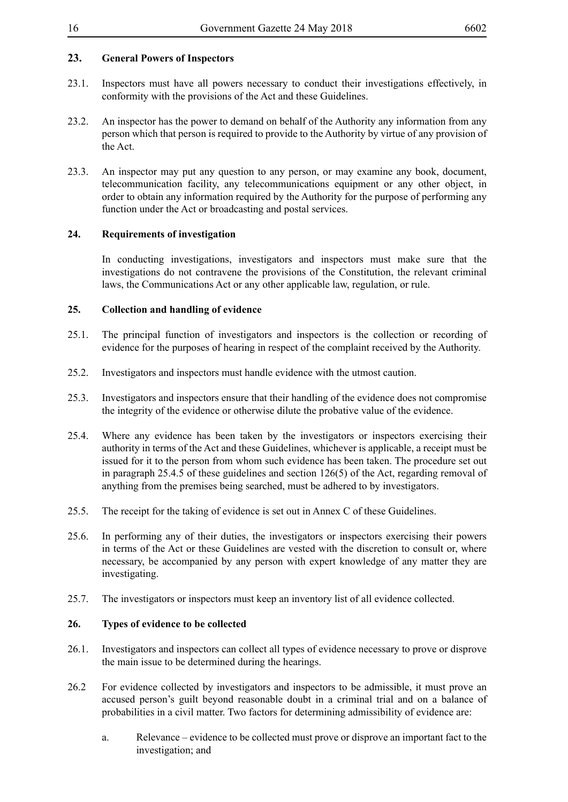## **23. General Powers of Inspectors**

- 23.1. Inspectors must have all powers necessary to conduct their investigations effectively, in conformity with the provisions of the Act and these Guidelines.
- 23.2. An inspector has the power to demand on behalf of the Authority any information from any person which that person is required to provide to the Authority by virtue of any provision of the Act.
- 23.3. An inspector may put any question to any person, or may examine any book, document, telecommunication facility, any telecommunications equipment or any other object, in order to obtain any information required by the Authority for the purpose of performing any function under the Act or broadcasting and postal services.

## **24. Requirements of investigation**

In conducting investigations, investigators and inspectors must make sure that the investigations do not contravene the provisions of the Constitution, the relevant criminal laws, the Communications Act or any other applicable law, regulation, or rule.

## **25. Collection and handling of evidence**

- 25.1. The principal function of investigators and inspectors is the collection or recording of evidence for the purposes of hearing in respect of the complaint received by the Authority.
- 25.2. Investigators and inspectors must handle evidence with the utmost caution.
- 25.3. Investigators and inspectors ensure that their handling of the evidence does not compromise the integrity of the evidence or otherwise dilute the probative value of the evidence.
- 25.4. Where any evidence has been taken by the investigators or inspectors exercising their authority in terms of the Act and these Guidelines, whichever is applicable, a receipt must be issued for it to the person from whom such evidence has been taken. The procedure set out in paragraph 25.4.5 of these guidelines and section 126(5) of the Act, regarding removal of anything from the premises being searched, must be adhered to by investigators.
- 25.5. The receipt for the taking of evidence is set out in Annex C of these Guidelines.
- 25.6. In performing any of their duties, the investigators or inspectors exercising their powers in terms of the Act or these Guidelines are vested with the discretion to consult or, where necessary, be accompanied by any person with expert knowledge of any matter they are investigating.
- 25.7. The investigators or inspectors must keep an inventory list of all evidence collected.

#### **26. Types of evidence to be collected**

- 26.1. Investigators and inspectors can collect all types of evidence necessary to prove or disprove the main issue to be determined during the hearings.
- 26.2 For evidence collected by investigators and inspectors to be admissible, it must prove an accused person's guilt beyond reasonable doubt in a criminal trial and on a balance of probabilities in a civil matter. Two factors for determining admissibility of evidence are:
	- a. Relevance evidence to be collected must prove or disprove an important fact to the investigation; and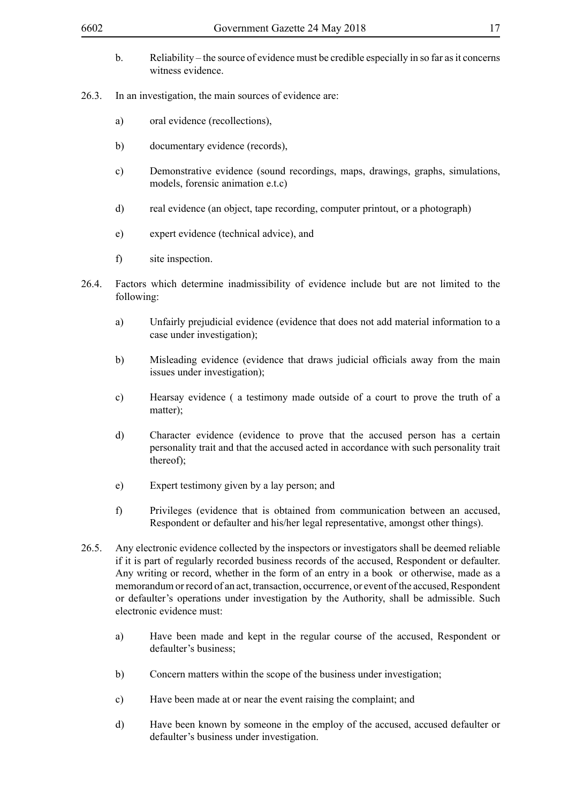- b. Reliability the source of evidence must be credible especially in so far as it concerns witness evidence.
- 26.3. In an investigation, the main sources of evidence are:
	- a) oral evidence (recollections),
	- b) documentary evidence (records),
	- c) Demonstrative evidence (sound recordings, maps, drawings, graphs, simulations, models, forensic animation e.t.c)
	- d) real evidence (an object, tape recording, computer printout, or a photograph)
	- e) expert evidence (technical advice), and
	- f) site inspection.
- 26.4. Factors which determine inadmissibility of evidence include but are not limited to the following:
	- a) Unfairly prejudicial evidence (evidence that does not add material information to a case under investigation);
	- b) Misleading evidence (evidence that draws judicial officials away from the main issues under investigation);
	- c) Hearsay evidence ( a testimony made outside of a court to prove the truth of a matter);
	- d) Character evidence (evidence to prove that the accused person has a certain personality trait and that the accused acted in accordance with such personality trait thereof);
	- e) Expert testimony given by a lay person; and
	- f) Privileges (evidence that is obtained from communication between an accused, Respondent or defaulter and his/her legal representative, amongst other things).
- 26.5. Any electronic evidence collected by the inspectors or investigators shall be deemed reliable if it is part of regularly recorded business records of the accused, Respondent or defaulter. Any writing or record, whether in the form of an entry in a book or otherwise, made as a memorandum or record of an act, transaction, occurrence, or event of the accused, Respondent or defaulter's operations under investigation by the Authority, shall be admissible. Such electronic evidence must:
	- a) Have been made and kept in the regular course of the accused, Respondent or defaulter's business;
	- b) Concern matters within the scope of the business under investigation;
	- c) Have been made at or near the event raising the complaint; and
	- d) Have been known by someone in the employ of the accused, accused defaulter or defaulter's business under investigation.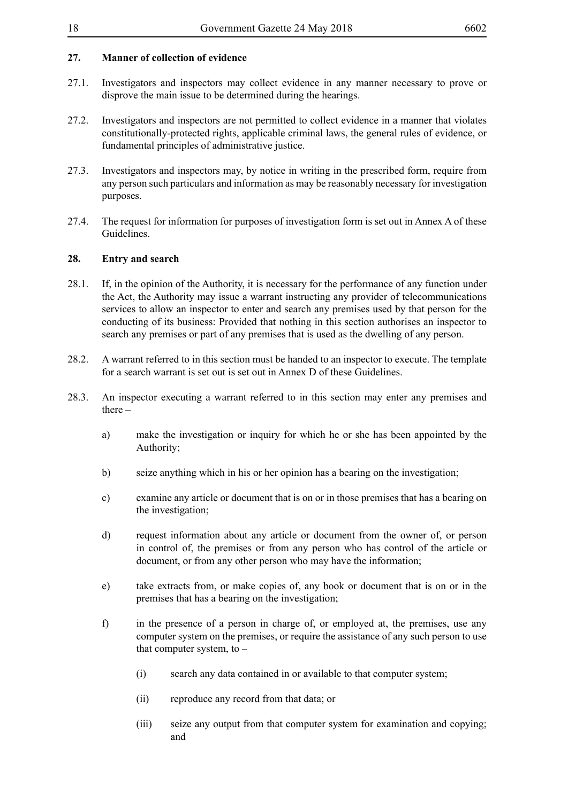## **27. Manner of collection of evidence**

- 27.1. Investigators and inspectors may collect evidence in any manner necessary to prove or disprove the main issue to be determined during the hearings.
- 27.2. Investigators and inspectors are not permitted to collect evidence in a manner that violates constitutionally-protected rights, applicable criminal laws, the general rules of evidence, or fundamental principles of administrative justice.
- 27.3. Investigators and inspectors may, by notice in writing in the prescribed form, require from any person such particulars and information as may be reasonably necessary for investigation purposes.
- 27.4. The request for information for purposes of investigation form is set out in Annex A of these Guidelines.

### **28. Entry and search**

- 28.1. If, in the opinion of the Authority, it is necessary for the performance of any function under the Act, the Authority may issue a warrant instructing any provider of telecommunications services to allow an inspector to enter and search any premises used by that person for the conducting of its business: Provided that nothing in this section authorises an inspector to search any premises or part of any premises that is used as the dwelling of any person.
- 28.2. A warrant referred to in this section must be handed to an inspector to execute. The template for a search warrant is set out is set out in Annex D of these Guidelines.
- 28.3. An inspector executing a warrant referred to in this section may enter any premises and there  $$ 
	- a) make the investigation or inquiry for which he or she has been appointed by the Authority;
	- b) seize anything which in his or her opinion has a bearing on the investigation;
	- c) examine any article or document that is on or in those premises that has a bearing on the investigation;
	- d) request information about any article or document from the owner of, or person in control of, the premises or from any person who has control of the article or document, or from any other person who may have the information;
	- e) take extracts from, or make copies of, any book or document that is on or in the premises that has a bearing on the investigation;
	- f) in the presence of a person in charge of, or employed at, the premises, use any computer system on the premises, or require the assistance of any such person to use that computer system, to  $-$ 
		- (i) search any data contained in or available to that computer system;
		- (ii) reproduce any record from that data; or
		- (iii) seize any output from that computer system for examination and copying; and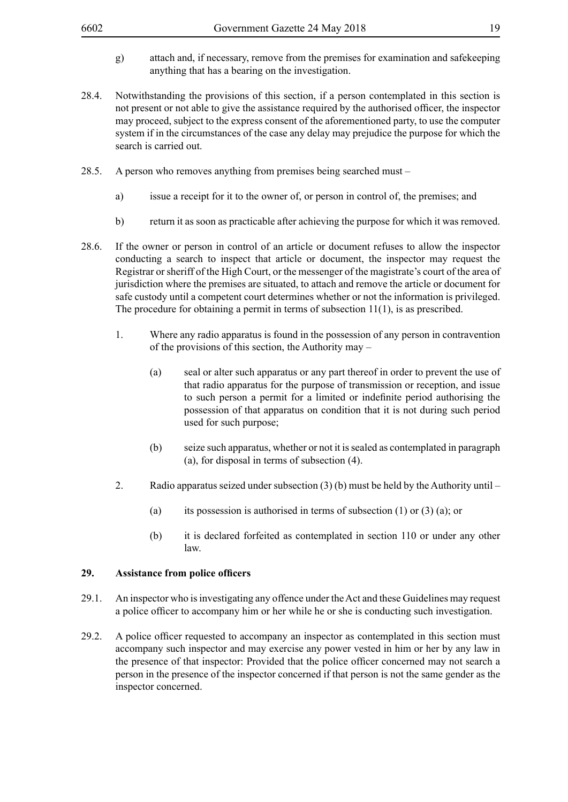- g) attach and, if necessary, remove from the premises for examination and safekeeping anything that has a bearing on the investigation.
- 28.4. Notwithstanding the provisions of this section, if a person contemplated in this section is not present or not able to give the assistance required by the authorised officer, the inspector may proceed, subject to the express consent of the aforementioned party, to use the computer system if in the circumstances of the case any delay may prejudice the purpose for which the search is carried out.
- 28.5. A person who removes anything from premises being searched must
	- a) issue a receipt for it to the owner of, or person in control of, the premises; and
	- b) return it as soon as practicable after achieving the purpose for which it was removed.
- 28.6. If the owner or person in control of an article or document refuses to allow the inspector conducting a search to inspect that article or document, the inspector may request the Registrar or sheriff of the High Court, or the messenger of the magistrate's court of the area of jurisdiction where the premises are situated, to attach and remove the article or document for safe custody until a competent court determines whether or not the information is privileged. The procedure for obtaining a permit in terms of subsection 11(1), is as prescribed.
	- 1. Where any radio apparatus is found in the possession of any person in contravention of the provisions of this section, the Authority may –
		- (a) seal or alter such apparatus or any part thereof in order to prevent the use of that radio apparatus for the purpose of transmission or reception, and issue to such person a permit for a limited or indefinite period authorising the possession of that apparatus on condition that it is not during such period used for such purpose;
		- (b) seize such apparatus, whether or not it is sealed as contemplated in paragraph (a), for disposal in terms of subsection (4).
	- 2. Radio apparatus seized under subsection (3) (b) must be held by the Authority until
		- (a) its possession is authorised in terms of subsection  $(1)$  or  $(3)$   $(a)$ ; or
		- (b) it is declared forfeited as contemplated in section 110 or under any other law.

#### **29. Assistance from police officers**

- 29.1. An inspector who is investigating any offence under the Act and these Guidelines may request a police officer to accompany him or her while he or she is conducting such investigation.
- 29.2. A police officer requested to accompany an inspector as contemplated in this section must accompany such inspector and may exercise any power vested in him or her by any law in the presence of that inspector: Provided that the police officer concerned may not search a person in the presence of the inspector concerned if that person is not the same gender as the inspector concerned.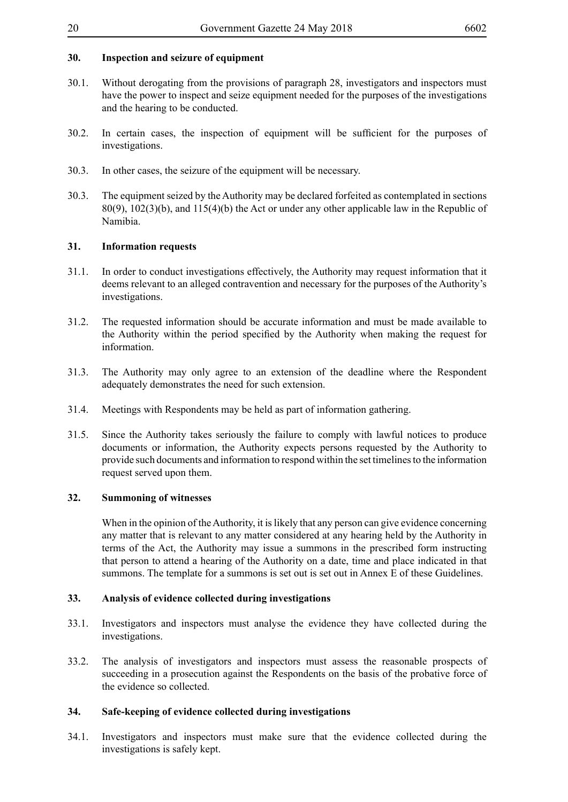## **30. Inspection and seizure of equipment**

- 30.1. Without derogating from the provisions of paragraph 28, investigators and inspectors must have the power to inspect and seize equipment needed for the purposes of the investigations and the hearing to be conducted.
- 30.2. In certain cases, the inspection of equipment will be sufficient for the purposes of investigations.
- 30.3. In other cases, the seizure of the equipment will be necessary.
- 30.3. The equipment seized by the Authority may be declared forfeited as contemplated in sections 80(9), 102(3)(b), and 115(4)(b) the Act or under any other applicable law in the Republic of Namibia.

### **31. Information requests**

- 31.1. In order to conduct investigations effectively, the Authority may request information that it deems relevant to an alleged contravention and necessary for the purposes of the Authority's investigations.
- 31.2. The requested information should be accurate information and must be made available to the Authority within the period specified by the Authority when making the request for information.
- 31.3. The Authority may only agree to an extension of the deadline where the Respondent adequately demonstrates the need for such extension.
- 31.4. Meetings with Respondents may be held as part of information gathering.
- 31.5. Since the Authority takes seriously the failure to comply with lawful notices to produce documents or information, the Authority expects persons requested by the Authority to provide such documents and information to respond within the set timelines to the information request served upon them.

#### **32. Summoning of witnesses**

When in the opinion of the Authority, it is likely that any person can give evidence concerning any matter that is relevant to any matter considered at any hearing held by the Authority in terms of the Act, the Authority may issue a summons in the prescribed form instructing that person to attend a hearing of the Authority on a date, time and place indicated in that summons. The template for a summons is set out is set out in Annex E of these Guidelines.

#### **33. Analysis of evidence collected during investigations**

- 33.1. Investigators and inspectors must analyse the evidence they have collected during the investigations.
- 33.2. The analysis of investigators and inspectors must assess the reasonable prospects of succeeding in a prosecution against the Respondents on the basis of the probative force of the evidence so collected.

## **34. Safe-keeping of evidence collected during investigations**

34.1. Investigators and inspectors must make sure that the evidence collected during the investigations is safely kept.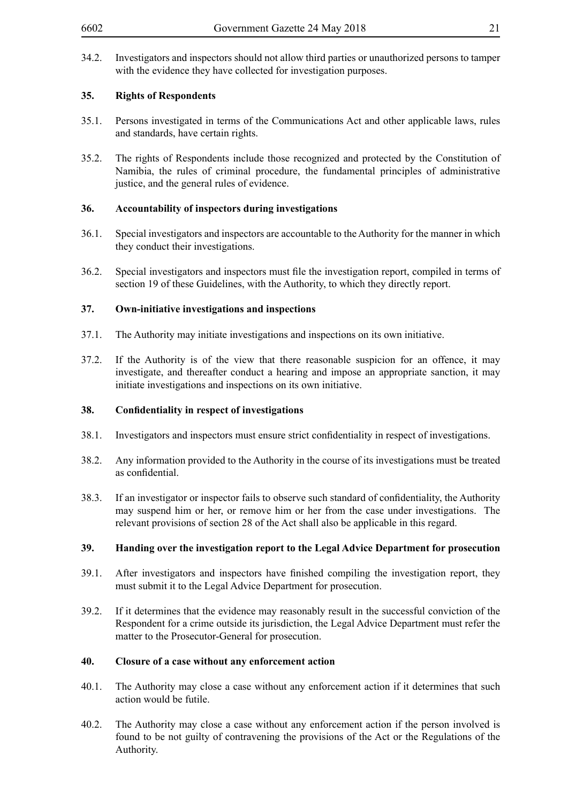34.2. Investigators and inspectors should not allow third parties or unauthorized persons to tamper with the evidence they have collected for investigation purposes.

## **35. Rights of Respondents**

- 35.1. Persons investigated in terms of the Communications Act and other applicable laws, rules and standards, have certain rights.
- 35.2. The rights of Respondents include those recognized and protected by the Constitution of Namibia, the rules of criminal procedure, the fundamental principles of administrative justice, and the general rules of evidence.

### **36. Accountability of inspectors during investigations**

- 36.1. Special investigators and inspectors are accountable to the Authority for the manner in which they conduct their investigations.
- 36.2. Special investigators and inspectors must file the investigation report, compiled in terms of section 19 of these Guidelines, with the Authority, to which they directly report.

## **37. Own-initiative investigations and inspections**

- 37.1. The Authority may initiate investigations and inspections on its own initiative.
- 37.2. If the Authority is of the view that there reasonable suspicion for an offence, it may investigate, and thereafter conduct a hearing and impose an appropriate sanction, it may initiate investigations and inspections on its own initiative.

#### **38. Confidentiality in respect of investigations**

- 38.1. Investigators and inspectors must ensure strict confidentiality in respect of investigations.
- 38.2. Any information provided to the Authority in the course of its investigations must be treated as confidential.
- 38.3. If an investigator or inspector fails to observe such standard of confidentiality, the Authority may suspend him or her, or remove him or her from the case under investigations. The relevant provisions of section 28 of the Act shall also be applicable in this regard.

## **39. Handing over the investigation report to the Legal Advice Department for prosecution**

- 39.1. After investigators and inspectors have finished compiling the investigation report, they must submit it to the Legal Advice Department for prosecution.
- 39.2. If it determines that the evidence may reasonably result in the successful conviction of the Respondent for a crime outside its jurisdiction, the Legal Advice Department must refer the matter to the Prosecutor-General for prosecution.

#### **40. Closure of a case without any enforcement action**

- 40.1. The Authority may close a case without any enforcement action if it determines that such action would be futile.
- 40.2. The Authority may close a case without any enforcement action if the person involved is found to be not guilty of contravening the provisions of the Act or the Regulations of the Authority.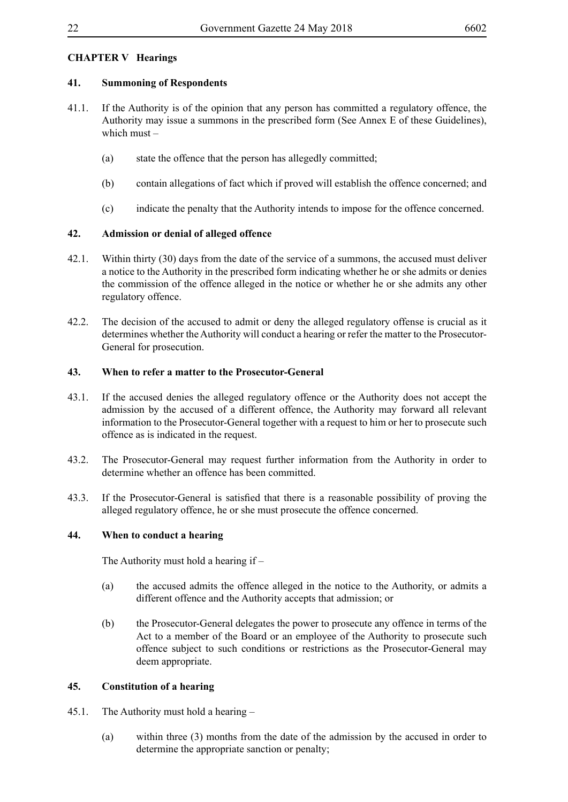## **CHAPTER V Hearings**

## **41. Summoning of Respondents**

- 41.1. If the Authority is of the opinion that any person has committed a regulatory offence, the Authority may issue a summons in the prescribed form (See Annex E of these Guidelines), which must –
	- (a) state the offence that the person has allegedly committed;
	- (b) contain allegations of fact which if proved will establish the offence concerned; and
	- (c) indicate the penalty that the Authority intends to impose for the offence concerned.

## **42. Admission or denial of alleged offence**

- 42.1. Within thirty (30) days from the date of the service of a summons, the accused must deliver a notice to the Authority in the prescribed form indicating whether he or she admits or denies the commission of the offence alleged in the notice or whether he or she admits any other regulatory offence.
- 42.2. The decision of the accused to admit or deny the alleged regulatory offense is crucial as it determines whether the Authority will conduct a hearing or refer the matter to the Prosecutor-General for prosecution.

## **43. When to refer a matter to the Prosecutor-General**

- 43.1. If the accused denies the alleged regulatory offence or the Authority does not accept the admission by the accused of a different offence, the Authority may forward all relevant information to the Prosecutor-General together with a request to him or her to prosecute such offence as is indicated in the request.
- 43.2. The Prosecutor-General may request further information from the Authority in order to determine whether an offence has been committed.
- 43.3. If the Prosecutor-General is satisfied that there is a reasonable possibility of proving the alleged regulatory offence, he or she must prosecute the offence concerned.

## **44. When to conduct a hearing**

The Authority must hold a hearing if –

- (a) the accused admits the offence alleged in the notice to the Authority, or admits a different offence and the Authority accepts that admission; or
- (b) the Prosecutor-General delegates the power to prosecute any offence in terms of the Act to a member of the Board or an employee of the Authority to prosecute such offence subject to such conditions or restrictions as the Prosecutor-General may deem appropriate.

## **45. Constitution of a hearing**

- 45.1. The Authority must hold a hearing
	- (a) within three (3) months from the date of the admission by the accused in order to determine the appropriate sanction or penalty;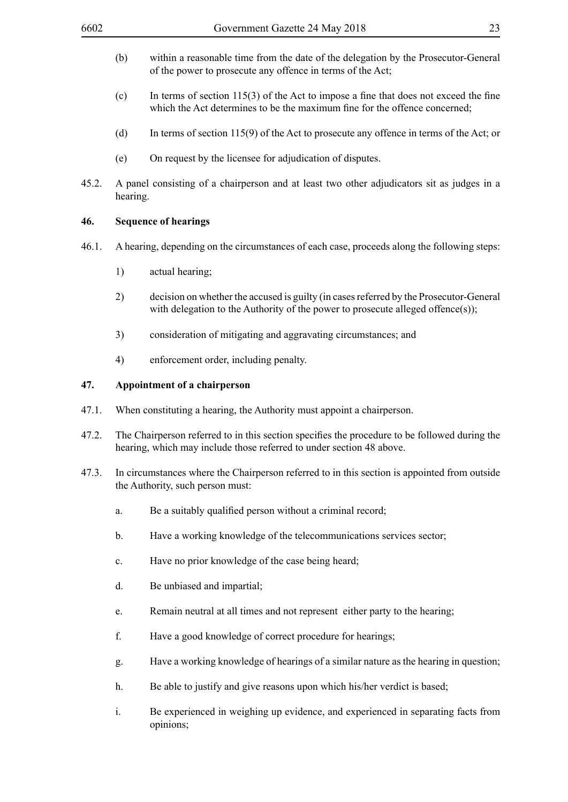- (b) within a reasonable time from the date of the delegation by the Prosecutor-General of the power to prosecute any offence in terms of the Act;
- (c) In terms of section 115(3) of the Act to impose a fine that does not exceed the fine which the Act determines to be the maximum fine for the offence concerned;
- (d) In terms of section 115(9) of the Act to prosecute any offence in terms of the Act; or
- (e) On request by the licensee for adjudication of disputes.
- 45.2. A panel consisting of a chairperson and at least two other adjudicators sit as judges in a hearing.

#### **46. Sequence of hearings**

- 46.1. A hearing, depending on the circumstances of each case, proceeds along the following steps:
	- 1) actual hearing;
	- 2) decision on whether the accused is guilty (in cases referred by the Prosecutor-General with delegation to the Authority of the power to prosecute alleged offence(s));
	- 3) consideration of mitigating and aggravating circumstances; and
	- 4) enforcement order, including penalty.

#### **47. Appointment of a chairperson**

- 47.1. When constituting a hearing, the Authority must appoint a chairperson.
- 47.2. The Chairperson referred to in this section specifies the procedure to be followed during the hearing, which may include those referred to under section 48 above.
- 47.3. In circumstances where the Chairperson referred to in this section is appointed from outside the Authority, such person must:
	- a. Be a suitably qualified person without a criminal record;
	- b. Have a working knowledge of the telecommunications services sector;
	- c. Have no prior knowledge of the case being heard;
	- d. Be unbiased and impartial;
	- e. Remain neutral at all times and not represent either party to the hearing;
	- f. Have a good knowledge of correct procedure for hearings;
	- g. Have a working knowledge of hearings of a similar nature as the hearing in question;
	- h. Be able to justify and give reasons upon which his/her verdict is based;
	- i. Be experienced in weighing up evidence, and experienced in separating facts from opinions;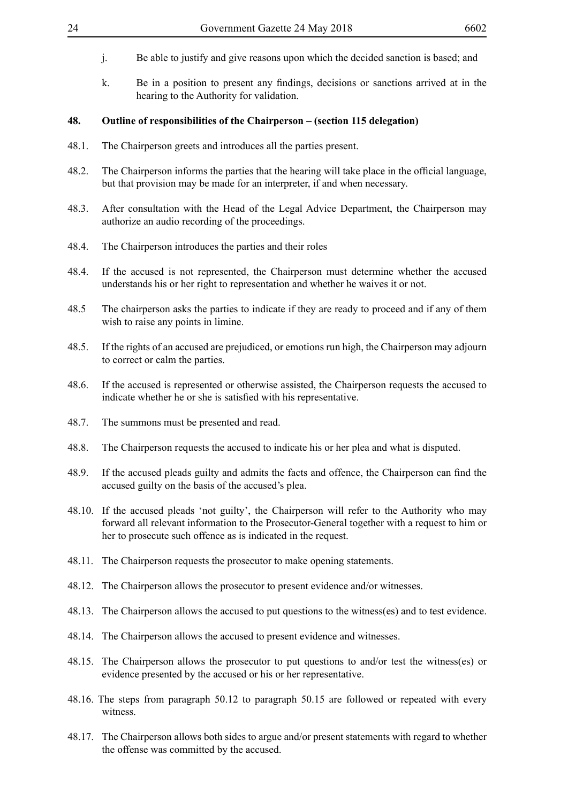- j. Be able to justify and give reasons upon which the decided sanction is based; and
- k. Be in a position to present any findings, decisions or sanctions arrived at in the hearing to the Authority for validation.

#### **48. Outline of responsibilities of the Chairperson – (section 115 delegation)**

- 48.1. The Chairperson greets and introduces all the parties present.
- 48.2. The Chairperson informs the parties that the hearing will take place in the official language, but that provision may be made for an interpreter, if and when necessary.
- 48.3. After consultation with the Head of the Legal Advice Department, the Chairperson may authorize an audio recording of the proceedings.
- 48.4. The Chairperson introduces the parties and their roles
- 48.4. If the accused is not represented, the Chairperson must determine whether the accused understands his or her right to representation and whether he waives it or not.
- 48.5 The chairperson asks the parties to indicate if they are ready to proceed and if any of them wish to raise any points in limine.
- 48.5. If the rights of an accused are prejudiced, or emotions run high, the Chairperson may adjourn to correct or calm the parties.
- 48.6. If the accused is represented or otherwise assisted, the Chairperson requests the accused to indicate whether he or she is satisfied with his representative.
- 48.7. The summons must be presented and read.
- 48.8. The Chairperson requests the accused to indicate his or her plea and what is disputed.
- 48.9. If the accused pleads guilty and admits the facts and offence, the Chairperson can find the accused guilty on the basis of the accused's plea.
- 48.10. If the accused pleads 'not guilty', the Chairperson will refer to the Authority who may forward all relevant information to the Prosecutor-General together with a request to him or her to prosecute such offence as is indicated in the request.
- 48.11. The Chairperson requests the prosecutor to make opening statements.
- 48.12. The Chairperson allows the prosecutor to present evidence and/or witnesses.
- 48.13. The Chairperson allows the accused to put questions to the witness(es) and to test evidence.
- 48.14. The Chairperson allows the accused to present evidence and witnesses.
- 48.15. The Chairperson allows the prosecutor to put questions to and/or test the witness(es) or evidence presented by the accused or his or her representative.
- 48.16. The steps from paragraph 50.12 to paragraph 50.15 are followed or repeated with every witness.
- 48.17. The Chairperson allows both sides to argue and/or present statements with regard to whether the offense was committed by the accused.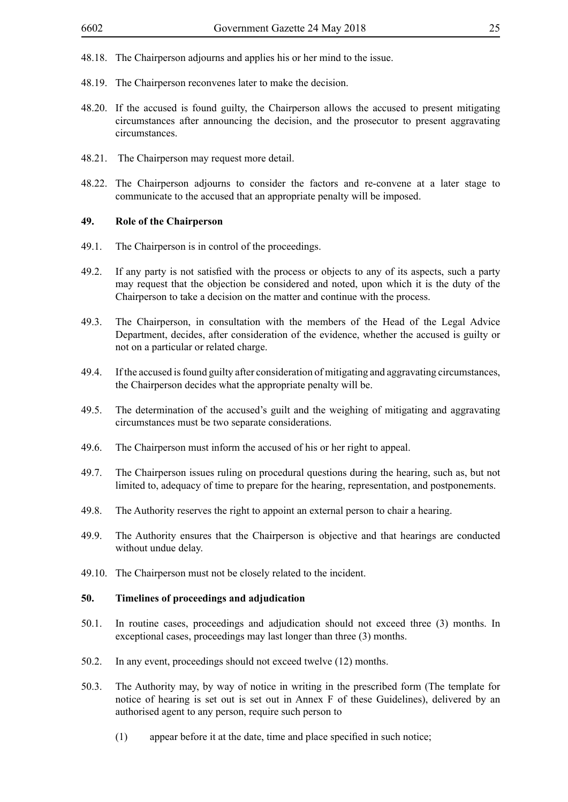- 48.18. The Chairperson adjourns and applies his or her mind to the issue.
- 48.19. The Chairperson reconvenes later to make the decision.
- 48.20. If the accused is found guilty, the Chairperson allows the accused to present mitigating circumstances after announcing the decision, and the prosecutor to present aggravating circumstances.
- 48.21. The Chairperson may request more detail.
- 48.22. The Chairperson adjourns to consider the factors and re-convene at a later stage to communicate to the accused that an appropriate penalty will be imposed.

#### **49. Role of the Chairperson**

- 49.1. The Chairperson is in control of the proceedings.
- 49.2. If any party is not satisfied with the process or objects to any of its aspects, such a party may request that the objection be considered and noted, upon which it is the duty of the Chairperson to take a decision on the matter and continue with the process.
- 49.3. The Chairperson, in consultation with the members of the Head of the Legal Advice Department, decides, after consideration of the evidence, whether the accused is guilty or not on a particular or related charge.
- 49.4. If the accused is found guilty after consideration of mitigating and aggravating circumstances, the Chairperson decides what the appropriate penalty will be.
- 49.5. The determination of the accused's guilt and the weighing of mitigating and aggravating circumstances must be two separate considerations.
- 49.6. The Chairperson must inform the accused of his or her right to appeal.
- 49.7. The Chairperson issues ruling on procedural questions during the hearing, such as, but not limited to, adequacy of time to prepare for the hearing, representation, and postponements.
- 49.8. The Authority reserves the right to appoint an external person to chair a hearing.
- 49.9. The Authority ensures that the Chairperson is objective and that hearings are conducted without undue delay.
- 49.10. The Chairperson must not be closely related to the incident.

#### **50. Timelines of proceedings and adjudication**

- 50.1. In routine cases, proceedings and adjudication should not exceed three (3) months. In exceptional cases, proceedings may last longer than three (3) months.
- 50.2. In any event, proceedings should not exceed twelve (12) months.
- 50.3. The Authority may, by way of notice in writing in the prescribed form (The template for notice of hearing is set out is set out in Annex F of these Guidelines), delivered by an authorised agent to any person, require such person to
	- (1) appear before it at the date, time and place specified in such notice;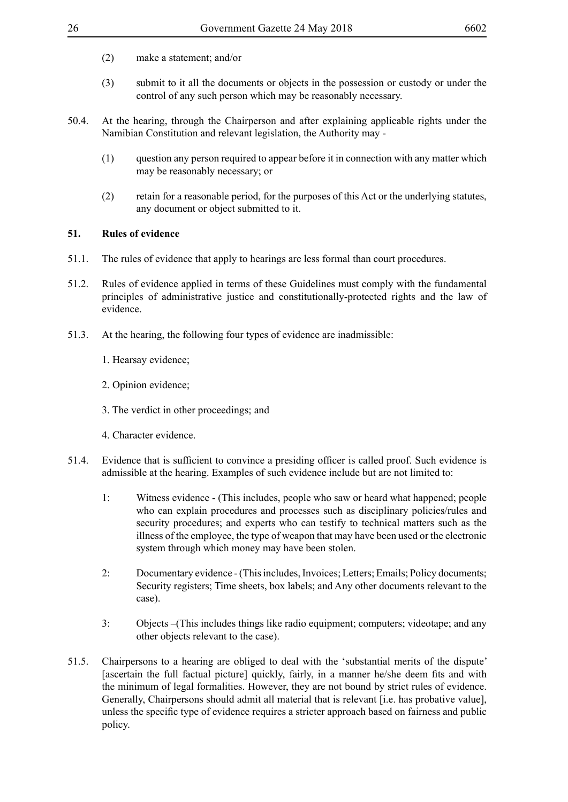- (2) make a statement; and/or
- (3) submit to it all the documents or objects in the possession or custody or under the control of any such person which may be reasonably necessary.
- 50.4. At the hearing, through the Chairperson and after explaining applicable rights under the Namibian Constitution and relevant legislation, the Authority may -
	- (1) question any person required to appear before it in connection with any matter which may be reasonably necessary; or
	- (2) retain for a reasonable period, for the purposes of this Act or the underlying statutes, any document or object submitted to it.

#### **51. Rules of evidence**

- 51.1. The rules of evidence that apply to hearings are less formal than court procedures.
- 51.2. Rules of evidence applied in terms of these Guidelines must comply with the fundamental principles of administrative justice and constitutionally-protected rights and the law of evidence.
- 51.3. At the hearing, the following four types of evidence are inadmissible:
	- 1. Hearsay evidence;
	- 2. Opinion evidence;
	- 3. The verdict in other proceedings; and
	- 4. Character evidence.
- 51.4. Evidence that is sufficient to convince a presiding officer is called proof. Such evidence is admissible at the hearing. Examples of such evidence include but are not limited to:
	- 1: Witness evidence (This includes, people who saw or heard what happened; people who can explain procedures and processes such as disciplinary policies/rules and security procedures; and experts who can testify to technical matters such as the illness of the employee, the type of weapon that may have been used or the electronic system through which money may have been stolen.
	- 2: Documentary evidence (This includes, Invoices; Letters; Emails; Policy documents; Security registers; Time sheets, box labels; and Any other documents relevant to the case).
	- 3: Objects –(This includes things like radio equipment; computers; videotape; and any other objects relevant to the case).
- 51.5. Chairpersons to a hearing are obliged to deal with the 'substantial merits of the dispute' [ascertain the full factual picture] quickly, fairly, in a manner he/she deem fits and with the minimum of legal formalities. However, they are not bound by strict rules of evidence. Generally, Chairpersons should admit all material that is relevant [i.e. has probative value], unless the specific type of evidence requires a stricter approach based on fairness and public policy.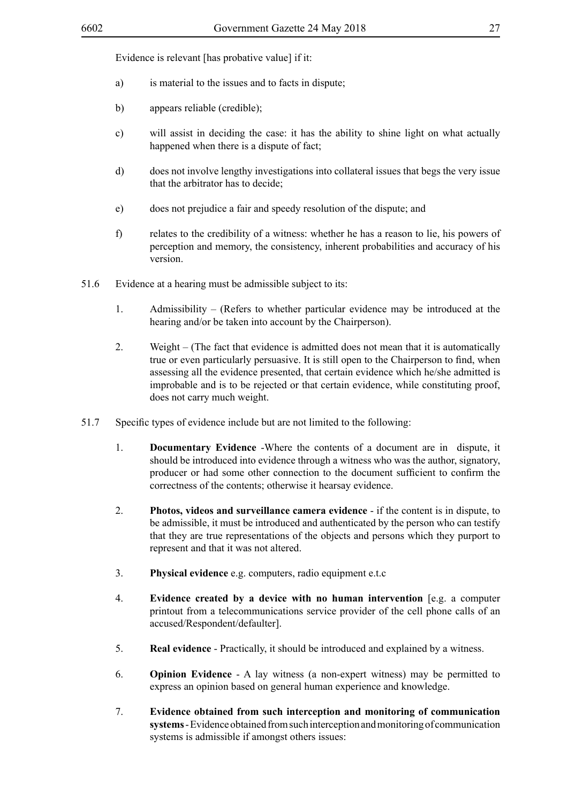Evidence is relevant [has probative value] if it:

- a) is material to the issues and to facts in dispute;
- b) appears reliable (credible);
- c) will assist in deciding the case: it has the ability to shine light on what actually happened when there is a dispute of fact;
- d) does not involve lengthy investigations into collateral issues that begs the very issue that the arbitrator has to decide;
- e) does not prejudice a fair and speedy resolution of the dispute; and
- f) relates to the credibility of a witness: whether he has a reason to lie, his powers of perception and memory, the consistency, inherent probabilities and accuracy of his version.
- 51.6 Evidence at a hearing must be admissible subject to its:
	- 1. Admissibility (Refers to whether particular evidence may be introduced at the hearing and/or be taken into account by the Chairperson).
	- 2. Weight (The fact that evidence is admitted does not mean that it is automatically true or even particularly persuasive. It is still open to the Chairperson to find, when assessing all the evidence presented, that certain evidence which he/she admitted is improbable and is to be rejected or that certain evidence, while constituting proof, does not carry much weight.
- 51.7 Specific types of evidence include but are not limited to the following:
	- 1. **Documentary Evidence** -Where the contents of a document are in dispute, it should be introduced into evidence through a witness who was the author, signatory, producer or had some other connection to the document sufficient to confirm the correctness of the contents; otherwise it hearsay evidence.
	- 2. **Photos, videos and surveillance camera evidence** if the content is in dispute, to be admissible, it must be introduced and authenticated by the person who can testify that they are true representations of the objects and persons which they purport to represent and that it was not altered.
	- 3. **Physical evidence** e.g. computers, radio equipment e.t.c
	- 4. **Evidence created by a device with no human intervention** [e.g. a computer printout from a telecommunications service provider of the cell phone calls of an accused/Respondent/defaulter].
	- 5. **Real evidence** Practically, it should be introduced and explained by a witness.
	- 6. **Opinion Evidence** A lay witness (a non-expert witness) may be permitted to express an opinion based on general human experience and knowledge.
	- 7. **Evidence obtained from such interception and monitoring of communication systems** - Evidence obtained from such interception and monitoring of communication systems is admissible if amongst others issues: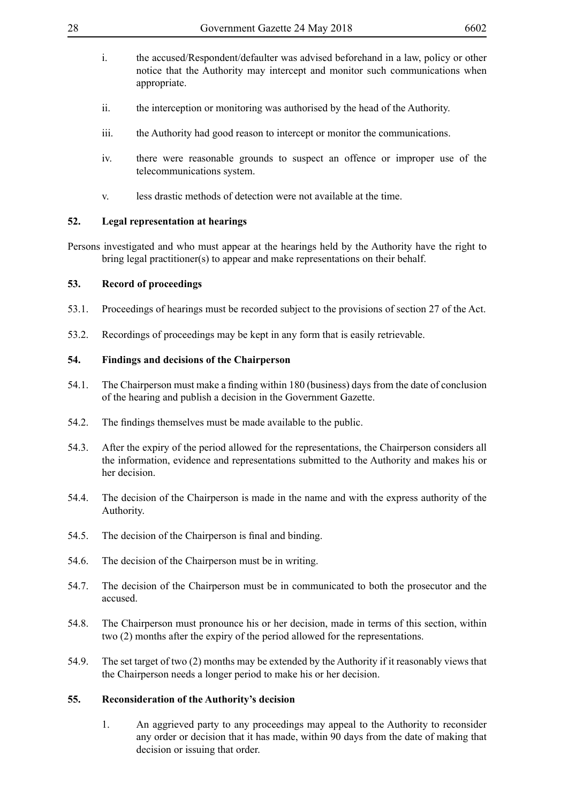- i. the accused/Respondent/defaulter was advised beforehand in a law, policy or other notice that the Authority may intercept and monitor such communications when appropriate.
- ii. the interception or monitoring was authorised by the head of the Authority.
- iii. the Authority had good reason to intercept or monitor the communications.
- iv. there were reasonable grounds to suspect an offence or improper use of the telecommunications system.
- v. less drastic methods of detection were not available at the time.

## **52. Legal representation at hearings**

Persons investigated and who must appear at the hearings held by the Authority have the right to bring legal practitioner(s) to appear and make representations on their behalf.

## **53. Record of proceedings**

- 53.1. Proceedings of hearings must be recorded subject to the provisions of section 27 of the Act.
- 53.2. Recordings of proceedings may be kept in any form that is easily retrievable.

## **54. Findings and decisions of the Chairperson**

- 54.1. The Chairperson must make a finding within 180 (business) days from the date of conclusion of the hearing and publish a decision in the Government Gazette.
- 54.2. The findings themselves must be made available to the public.
- 54.3. After the expiry of the period allowed for the representations, the Chairperson considers all the information, evidence and representations submitted to the Authority and makes his or her decision.
- 54.4. The decision of the Chairperson is made in the name and with the express authority of the Authority.
- 54.5. The decision of the Chairperson is final and binding.
- 54.6. The decision of the Chairperson must be in writing.
- 54.7. The decision of the Chairperson must be in communicated to both the prosecutor and the accused.
- 54.8. The Chairperson must pronounce his or her decision, made in terms of this section, within two (2) months after the expiry of the period allowed for the representations.
- 54.9. The set target of two (2) months may be extended by the Authority if it reasonably views that the Chairperson needs a longer period to make his or her decision.

## **55. Reconsideration of the Authority's decision**

1. An aggrieved party to any proceedings may appeal to the Authority to reconsider any order or decision that it has made, within 90 days from the date of making that decision or issuing that order.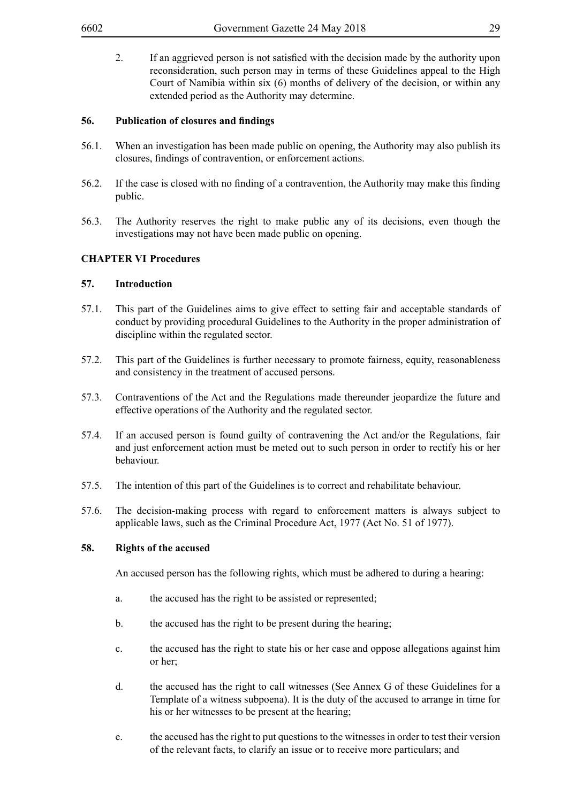2. If an aggrieved person is not satisfied with the decision made by the authority upon reconsideration, such person may in terms of these Guidelines appeal to the High Court of Namibia within six (6) months of delivery of the decision, or within any extended period as the Authority may determine.

### **56. Publication of closures and findings**

- 56.1. When an investigation has been made public on opening, the Authority may also publish its closures, findings of contravention, or enforcement actions.
- 56.2. If the case is closed with no finding of a contravention, the Authority may make this finding public.
- 56.3. The Authority reserves the right to make public any of its decisions, even though the investigations may not have been made public on opening.

## **CHAPTER VI Procedures**

### **57. Introduction**

- 57.1. This part of the Guidelines aims to give effect to setting fair and acceptable standards of conduct by providing procedural Guidelines to the Authority in the proper administration of discipline within the regulated sector.
- 57.2. This part of the Guidelines is further necessary to promote fairness, equity, reasonableness and consistency in the treatment of accused persons.
- 57.3. Contraventions of the Act and the Regulations made thereunder jeopardize the future and effective operations of the Authority and the regulated sector.
- 57.4. If an accused person is found guilty of contravening the Act and/or the Regulations, fair and just enforcement action must be meted out to such person in order to rectify his or her behaviour.
- 57.5. The intention of this part of the Guidelines is to correct and rehabilitate behaviour.
- 57.6. The decision-making process with regard to enforcement matters is always subject to applicable laws, such as the Criminal Procedure Act, 1977 (Act No. 51 of 1977).

#### **58. Rights of the accused**

An accused person has the following rights, which must be adhered to during a hearing:

- a. the accused has the right to be assisted or represented;
- b. the accused has the right to be present during the hearing;
- c. the accused has the right to state his or her case and oppose allegations against him or her;
- d. the accused has the right to call witnesses (See Annex G of these Guidelines for a Template of a witness subpoena). It is the duty of the accused to arrange in time for his or her witnesses to be present at the hearing;
- e. the accused has the right to put questions to the witnesses in order to test their version of the relevant facts, to clarify an issue or to receive more particulars; and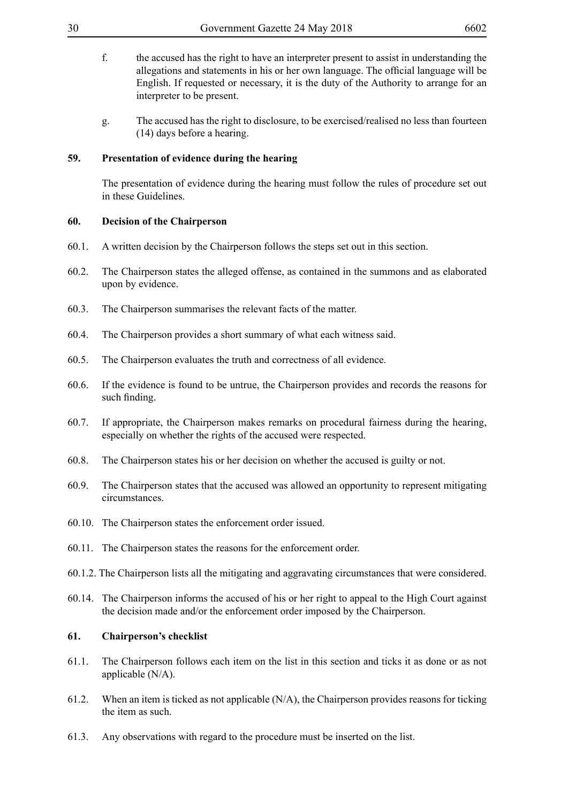- f. the accused has the right to have an interpreter present to assist in understanding the allegations and statements in his or her own language. The official language will be English. If requested or necessary, it is the duty of the Authority to arrange for an interpreter to be present.
- g. The accused has the right to disclosure, to be exercised/realised no less than fourteen (14) days before a hearing.

#### **59. Presentation of evidence during the hearing**

The presentation of evidence during the hearing must follow the rules of procedure set out in these Guidelines.

#### **60. Decision of the Chairperson**

- 60.1. A written decision by the Chairperson follows the steps set out in this section.
- 60.2. The Chairperson states the alleged offense, as contained in the summons and as elaborated upon by evidence.
- 60.3. The Chairperson summarises the relevant facts of the matter.
- 60.4. The Chairperson provides a short summary of what each witness said.
- 60.5. The Chairperson evaluates the truth and correctness of all evidence.
- 60.6. If the evidence is found to be untrue, the Chairperson provides and records the reasons for such finding.
- 60.7. If appropriate, the Chairperson makes remarks on procedural fairness during the hearing, especially on whether the rights of the accused were respected.
- 60.8. The Chairperson states his or her decision on whether the accused is guilty or not.
- 60.9. The Chairperson states that the accused was allowed an opportunity to represent mitigating circumstances.
- 60.10. The Chairperson states the enforcement order issued.
- 60.11. The Chairperson states the reasons for the enforcement order.
- 60.1.2. The Chairperson lists all the mitigating and aggravating circumstances that were considered.
- 60.14. The Chairperson informs the accused of his or her right to appeal to the High Court against the decision made and/or the enforcement order imposed by the Chairperson.

#### **61. Chairperson's checklist**

- 61.1. The Chairperson follows each item on the list in this section and ticks it as done or as not applicable (N/A).
- 61.2. When an item is ticked as not applicable (N/A), the Chairperson provides reasons for ticking the item as such.
- 61.3. Any observations with regard to the procedure must be inserted on the list.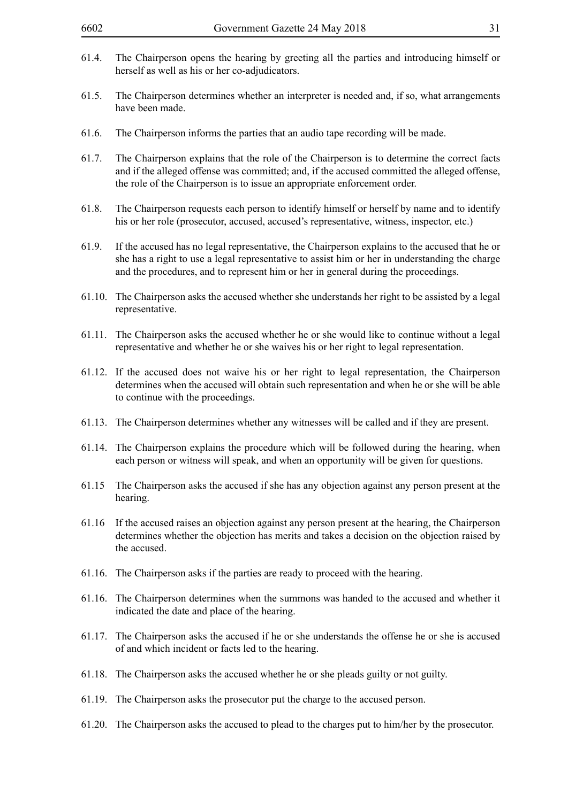- 61.4. The Chairperson opens the hearing by greeting all the parties and introducing himself or herself as well as his or her co-adjudicators.
- 61.5. The Chairperson determines whether an interpreter is needed and, if so, what arrangements have been made.
- 61.6. The Chairperson informs the parties that an audio tape recording will be made.
- 61.7. The Chairperson explains that the role of the Chairperson is to determine the correct facts and if the alleged offense was committed; and, if the accused committed the alleged offense, the role of the Chairperson is to issue an appropriate enforcement order.
- 61.8. The Chairperson requests each person to identify himself or herself by name and to identify his or her role (prosecutor, accused, accused's representative, witness, inspector, etc.)
- 61.9. If the accused has no legal representative, the Chairperson explains to the accused that he or she has a right to use a legal representative to assist him or her in understanding the charge and the procedures, and to represent him or her in general during the proceedings.
- 61.10. The Chairperson asks the accused whether she understands her right to be assisted by a legal representative.
- 61.11. The Chairperson asks the accused whether he or she would like to continue without a legal representative and whether he or she waives his or her right to legal representation.
- 61.12. If the accused does not waive his or her right to legal representation, the Chairperson determines when the accused will obtain such representation and when he or she will be able to continue with the proceedings.
- 61.13. The Chairperson determines whether any witnesses will be called and if they are present.
- 61.14. The Chairperson explains the procedure which will be followed during the hearing, when each person or witness will speak, and when an opportunity will be given for questions.
- 61.15 The Chairperson asks the accused if she has any objection against any person present at the hearing.
- 61.16 If the accused raises an objection against any person present at the hearing, the Chairperson determines whether the objection has merits and takes a decision on the objection raised by the accused.
- 61.16. The Chairperson asks if the parties are ready to proceed with the hearing.
- 61.16. The Chairperson determines when the summons was handed to the accused and whether it indicated the date and place of the hearing.
- 61.17. The Chairperson asks the accused if he or she understands the offense he or she is accused of and which incident or facts led to the hearing.
- 61.18. The Chairperson asks the accused whether he or she pleads guilty or not guilty.
- 61.19. The Chairperson asks the prosecutor put the charge to the accused person.
- 61.20. The Chairperson asks the accused to plead to the charges put to him/her by the prosecutor.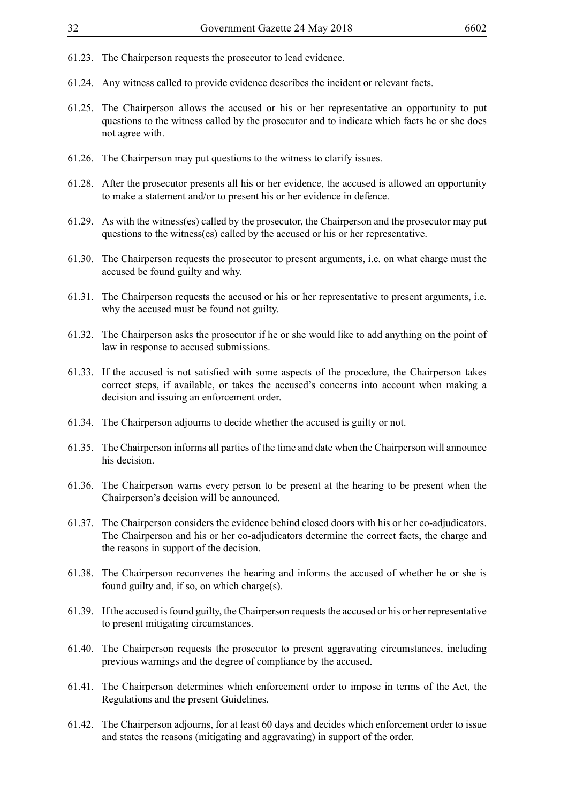- 61.23. The Chairperson requests the prosecutor to lead evidence.
- 61.24. Any witness called to provide evidence describes the incident or relevant facts.
- 61.25. The Chairperson allows the accused or his or her representative an opportunity to put questions to the witness called by the prosecutor and to indicate which facts he or she does not agree with.
- 61.26. The Chairperson may put questions to the witness to clarify issues.
- 61.28. After the prosecutor presents all his or her evidence, the accused is allowed an opportunity to make a statement and/or to present his or her evidence in defence.
- 61.29. As with the witness(es) called by the prosecutor, the Chairperson and the prosecutor may put questions to the witness(es) called by the accused or his or her representative.
- 61.30. The Chairperson requests the prosecutor to present arguments, i.e. on what charge must the accused be found guilty and why.
- 61.31. The Chairperson requests the accused or his or her representative to present arguments, i.e. why the accused must be found not guilty.
- 61.32. The Chairperson asks the prosecutor if he or she would like to add anything on the point of law in response to accused submissions.
- 61.33. If the accused is not satisfied with some aspects of the procedure, the Chairperson takes correct steps, if available, or takes the accused's concerns into account when making a decision and issuing an enforcement order.
- 61.34. The Chairperson adjourns to decide whether the accused is guilty or not.
- 61.35. The Chairperson informs all parties of the time and date when the Chairperson will announce his decision.
- 61.36. The Chairperson warns every person to be present at the hearing to be present when the Chairperson's decision will be announced.
- 61.37. The Chairperson considers the evidence behind closed doors with his or her co-adjudicators. The Chairperson and his or her co-adjudicators determine the correct facts, the charge and the reasons in support of the decision.
- 61.38. The Chairperson reconvenes the hearing and informs the accused of whether he or she is found guilty and, if so, on which charge(s).
- 61.39. If the accused is found guilty, the Chairperson requests the accused or his or her representative to present mitigating circumstances.
- 61.40. The Chairperson requests the prosecutor to present aggravating circumstances, including previous warnings and the degree of compliance by the accused.
- 61.41. The Chairperson determines which enforcement order to impose in terms of the Act, the Regulations and the present Guidelines.
- 61.42. The Chairperson adjourns, for at least 60 days and decides which enforcement order to issue and states the reasons (mitigating and aggravating) in support of the order.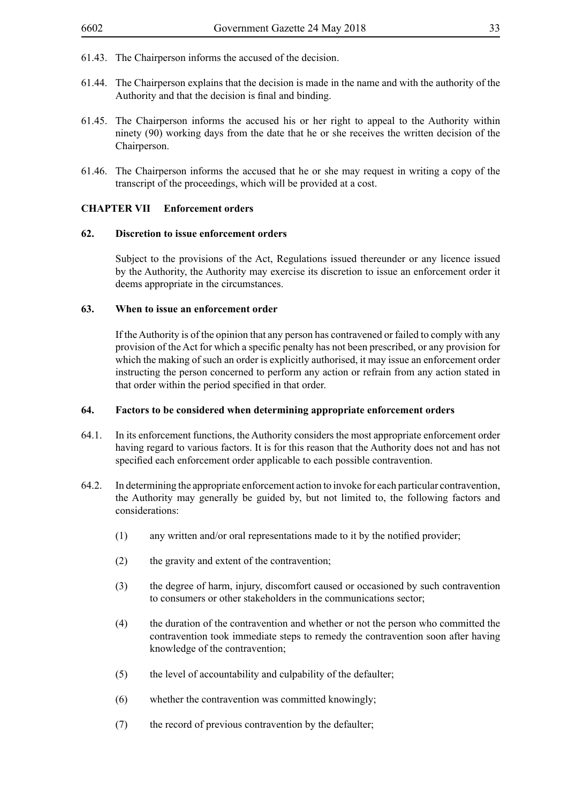- 61.43. The Chairperson informs the accused of the decision.
- 61.44. The Chairperson explains that the decision is made in the name and with the authority of the Authority and that the decision is final and binding.
- 61.45. The Chairperson informs the accused his or her right to appeal to the Authority within ninety (90) working days from the date that he or she receives the written decision of the Chairperson.
- 61.46. The Chairperson informs the accused that he or she may request in writing a copy of the transcript of the proceedings, which will be provided at a cost.

#### **CHAPTER VII Enforcement orders**

#### **62. Discretion to issue enforcement orders**

Subject to the provisions of the Act, Regulations issued thereunder or any licence issued by the Authority, the Authority may exercise its discretion to issue an enforcement order it deems appropriate in the circumstances.

#### **63. When to issue an enforcement order**

If the Authority is of the opinion that any person has contravened or failed to comply with any provision of the Act for which a specific penalty has not been prescribed, or any provision for which the making of such an order is explicitly authorised, it may issue an enforcement order instructing the person concerned to perform any action or refrain from any action stated in that order within the period specified in that order.

#### **64. Factors to be considered when determining appropriate enforcement orders**

- 64.1. In its enforcement functions, the Authority considers the most appropriate enforcement order having regard to various factors. It is for this reason that the Authority does not and has not specified each enforcement order applicable to each possible contravention.
- 64.2. In determining the appropriate enforcement action to invoke for each particular contravention, the Authority may generally be guided by, but not limited to, the following factors and considerations:
	- (1) any written and/or oral representations made to it by the notified provider;
	- (2) the gravity and extent of the contravention;
	- (3) the degree of harm, injury, discomfort caused or occasioned by such contravention to consumers or other stakeholders in the communications sector;
	- (4) the duration of the contravention and whether or not the person who committed the contravention took immediate steps to remedy the contravention soon after having knowledge of the contravention;
	- (5) the level of accountability and culpability of the defaulter;
	- (6) whether the contravention was committed knowingly;
	- (7) the record of previous contravention by the defaulter;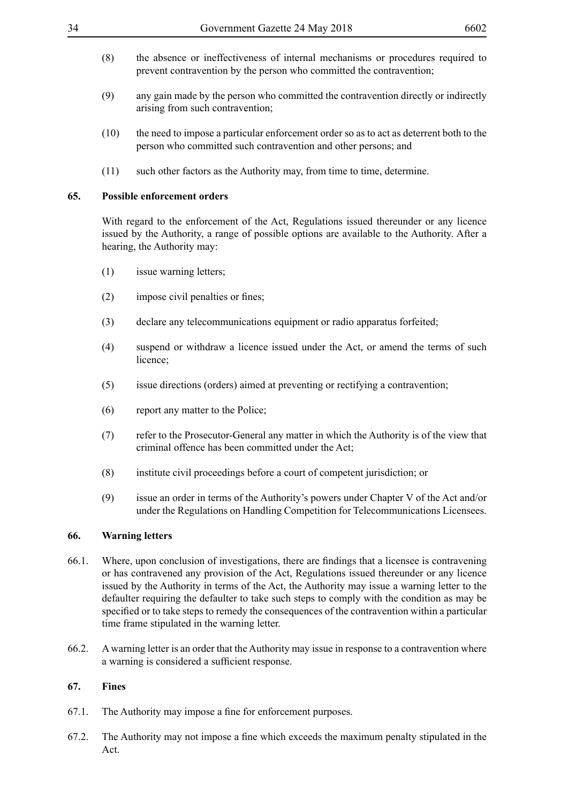- (8) the absence or ineffectiveness of internal mechanisms or procedures required to prevent contravention by the person who committed the contravention;
- (9) any gain made by the person who committed the contravention directly or indirectly arising from such contravention;
- (10) the need to impose a particular enforcement order so as to act as deterrent both to the person who committed such contravention and other persons; and
- (11) such other factors as the Authority may, from time to time, determine.

#### **65. Possible enforcement orders**

With regard to the enforcement of the Act, Regulations issued thereunder or any licence issued by the Authority, a range of possible options are available to the Authority. After a hearing, the Authority may:

- (1) issue warning letters;
- (2) impose civil penalties or fines;
- (3) declare any telecommunications equipment or radio apparatus forfeited;
- (4) suspend or withdraw a licence issued under the Act, or amend the terms of such licence;
- (5) issue directions (orders) aimed at preventing or rectifying a contravention;
- (6) report any matter to the Police;
- (7) refer to the Prosecutor-General any matter in which the Authority is of the view that criminal offence has been committed under the Act;
- (8) institute civil proceedings before a court of competent jurisdiction; or
- (9) issue an order in terms of the Authority's powers under Chapter V of the Act and/or under the Regulations on Handling Competition for Telecommunications Licensees.

#### **66. Warning letters**

- 66.1. Where, upon conclusion of investigations, there are findings that a licensee is contravening or has contravened any provision of the Act, Regulations issued thereunder or any licence issued by the Authority in terms of the Act, the Authority may issue a warning letter to the defaulter requiring the defaulter to take such steps to comply with the condition as may be specified or to take steps to remedy the consequences of the contravention within a particular time frame stipulated in the warning letter.
- 66.2. A warning letter is an order that the Authority may issue in response to a contravention where a warning is considered a sufficient response.

#### **67. Fines**

- 67.1. The Authority may impose a fine for enforcement purposes.
- 67.2. The Authority may not impose a fine which exceeds the maximum penalty stipulated in the Act.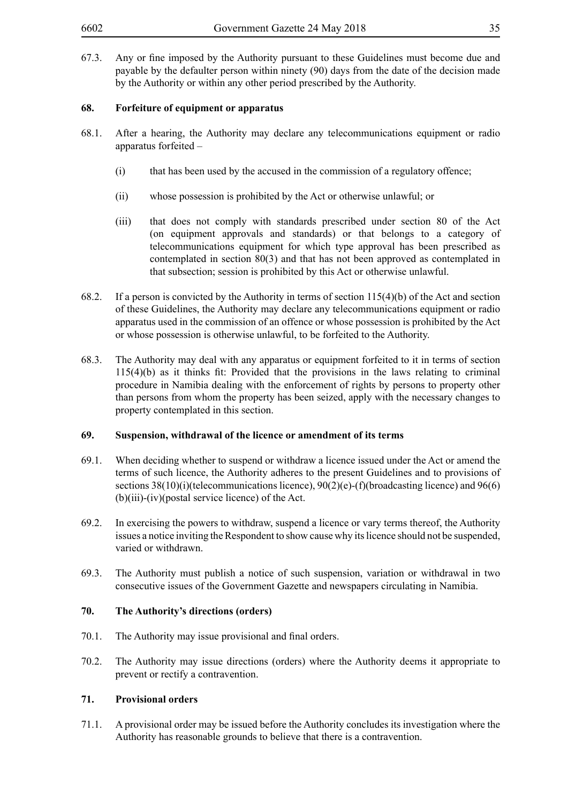67.3. Any or fine imposed by the Authority pursuant to these Guidelines must become due and payable by the defaulter person within ninety (90) days from the date of the decision made by the Authority or within any other period prescribed by the Authority.

### **68. Forfeiture of equipment or apparatus**

- 68.1. After a hearing, the Authority may declare any telecommunications equipment or radio apparatus forfeited –
	- (i) that has been used by the accused in the commission of a regulatory offence;
	- (ii) whose possession is prohibited by the Act or otherwise unlawful; or
	- (iii) that does not comply with standards prescribed under section 80 of the Act (on equipment approvals and standards) or that belongs to a category of telecommunications equipment for which type approval has been prescribed as contemplated in section 80(3) and that has not been approved as contemplated in that subsection; session is prohibited by this Act or otherwise unlawful.
- 68.2. If a person is convicted by the Authority in terms of section 115(4)(b) of the Act and section of these Guidelines, the Authority may declare any telecommunications equipment or radio apparatus used in the commission of an offence or whose possession is prohibited by the Act or whose possession is otherwise unlawful, to be forfeited to the Authority.
- 68.3. The Authority may deal with any apparatus or equipment forfeited to it in terms of section 115(4)(b) as it thinks fit: Provided that the provisions in the laws relating to criminal procedure in Namibia dealing with the enforcement of rights by persons to property other than persons from whom the property has been seized, apply with the necessary changes to property contemplated in this section.

#### **69. Suspension, withdrawal of the licence or amendment of its terms**

- 69.1. When deciding whether to suspend or withdraw a licence issued under the Act or amend the terms of such licence, the Authority adheres to the present Guidelines and to provisions of sections  $38(10)(i)$  (telecommunications licence),  $90(2)(e)$ -(f)(broadcasting licence) and 96(6) (b)(iii)-(iv)(postal service licence) of the Act.
- 69.2. In exercising the powers to withdraw, suspend a licence or vary terms thereof, the Authority issues a notice inviting the Respondent to show cause why its licence should not be suspended, varied or withdrawn.
- 69.3. The Authority must publish a notice of such suspension, variation or withdrawal in two consecutive issues of the Government Gazette and newspapers circulating in Namibia.

#### **70. The Authority's directions (orders)**

- 70.1. The Authority may issue provisional and final orders.
- 70.2. The Authority may issue directions (orders) where the Authority deems it appropriate to prevent or rectify a contravention.

## **71. Provisional orders**

71.1. A provisional order may be issued before the Authority concludes its investigation where the Authority has reasonable grounds to believe that there is a contravention.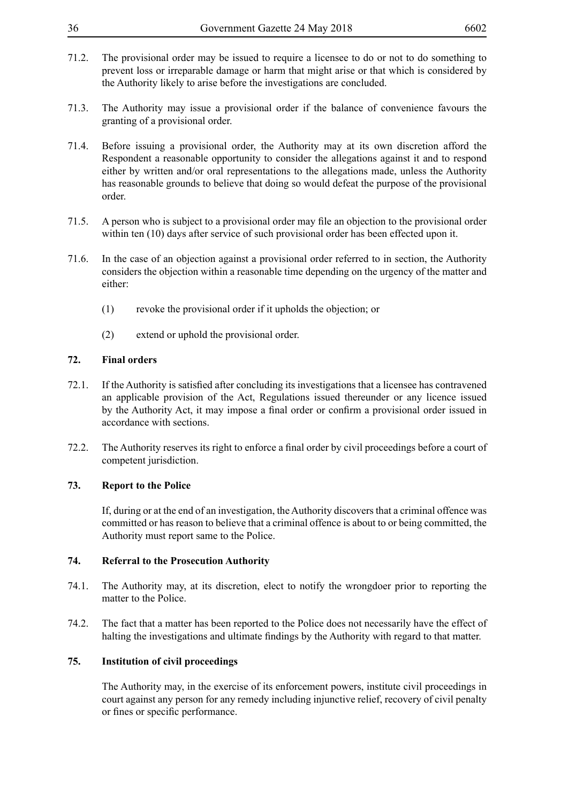- 71.2. The provisional order may be issued to require a licensee to do or not to do something to prevent loss or irreparable damage or harm that might arise or that which is considered by the Authority likely to arise before the investigations are concluded.
- 71.3. The Authority may issue a provisional order if the balance of convenience favours the granting of a provisional order.
- 71.4. Before issuing a provisional order, the Authority may at its own discretion afford the Respondent a reasonable opportunity to consider the allegations against it and to respond either by written and/or oral representations to the allegations made, unless the Authority has reasonable grounds to believe that doing so would defeat the purpose of the provisional order.
- 71.5. A person who is subject to a provisional order may file an objection to the provisional order within ten (10) days after service of such provisional order has been effected upon it.
- 71.6. In the case of an objection against a provisional order referred to in section, the Authority considers the objection within a reasonable time depending on the urgency of the matter and either:
	- (1) revoke the provisional order if it upholds the objection; or
	- (2) extend or uphold the provisional order.

### **72. Final orders**

- 72.1. If the Authority is satisfied after concluding its investigations that a licensee has contravened an applicable provision of the Act, Regulations issued thereunder or any licence issued by the Authority Act, it may impose a final order or confirm a provisional order issued in accordance with sections.
- 72.2. The Authority reserves its right to enforce a final order by civil proceedings before a court of competent jurisdiction.

#### **73. Report to the Police**

If, during or at the end of an investigation, the Authority discovers that a criminal offence was committed or has reason to believe that a criminal offence is about to or being committed, the Authority must report same to the Police.

#### **74. Referral to the Prosecution Authority**

- 74.1. The Authority may, at its discretion, elect to notify the wrongdoer prior to reporting the matter to the Police.
- 74.2. The fact that a matter has been reported to the Police does not necessarily have the effect of halting the investigations and ultimate findings by the Authority with regard to that matter.

#### **75. Institution of civil proceedings**

The Authority may, in the exercise of its enforcement powers, institute civil proceedings in court against any person for any remedy including injunctive relief, recovery of civil penalty or fines or specific performance.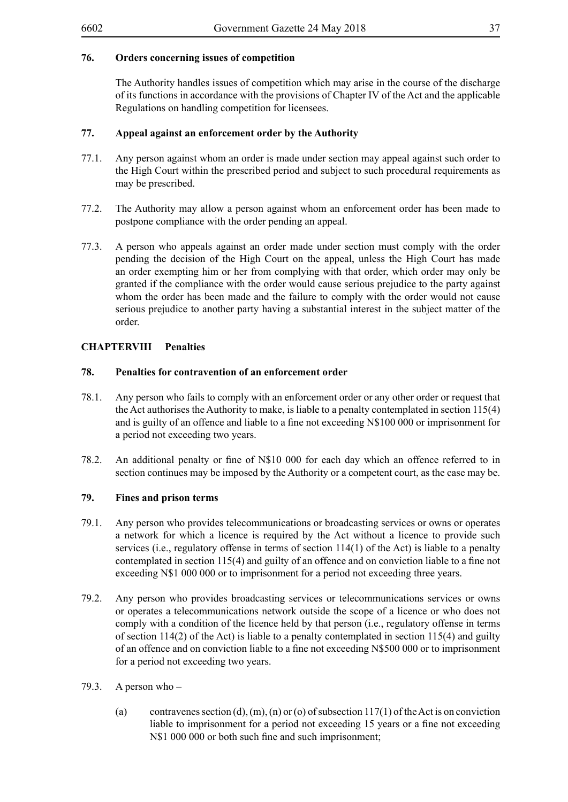The Authority handles issues of competition which may arise in the course of the discharge of its functions in accordance with the provisions of Chapter IV of the Act and the applicable Regulations on handling competition for licensees.

## **77. Appeal against an enforcement order by the Authority**

- 77.1. Any person against whom an order is made under section may appeal against such order to the High Court within the prescribed period and subject to such procedural requirements as may be prescribed.
- 77.2. The Authority may allow a person against whom an enforcement order has been made to postpone compliance with the order pending an appeal.
- 77.3. A person who appeals against an order made under section must comply with the order pending the decision of the High Court on the appeal, unless the High Court has made an order exempting him or her from complying with that order, which order may only be granted if the compliance with the order would cause serious prejudice to the party against whom the order has been made and the failure to comply with the order would not cause serious prejudice to another party having a substantial interest in the subject matter of the order.

## **CHAPTERVIII Penalties**

## **78. Penalties for contravention of an enforcement order**

- 78.1. Any person who fails to comply with an enforcement order or any other order or request that the Act authorises the Authority to make, is liable to a penalty contemplated in section 115(4) and is guilty of an offence and liable to a fine not exceeding N\$100 000 or imprisonment for a period not exceeding two years.
- 78.2. An additional penalty or fine of N\$10 000 for each day which an offence referred to in section continues may be imposed by the Authority or a competent court, as the case may be.

## **79. Fines and prison terms**

- 79.1. Any person who provides telecommunications or broadcasting services or owns or operates a network for which a licence is required by the Act without a licence to provide such services (i.e., regulatory offense in terms of section 114(1) of the Act) is liable to a penalty contemplated in section 115(4) and guilty of an offence and on conviction liable to a fine not exceeding N\$1 000 000 or to imprisonment for a period not exceeding three years.
- 79.2. Any person who provides broadcasting services or telecommunications services or owns or operates a telecommunications network outside the scope of a licence or who does not comply with a condition of the licence held by that person (i.e., regulatory offense in terms of section 114(2) of the Act) is liable to a penalty contemplated in section 115(4) and guilty of an offence and on conviction liable to a fine not exceeding N\$500 000 or to imprisonment for a period not exceeding two years.
- 79.3. A person who
	- (a) contravenes section (d),  $(m)$ ,  $(n)$  or (o) of subsection 117(1) of the Act is on conviction liable to imprisonment for a period not exceeding 15 years or a fine not exceeding N\$1 000 000 or both such fine and such imprisonment;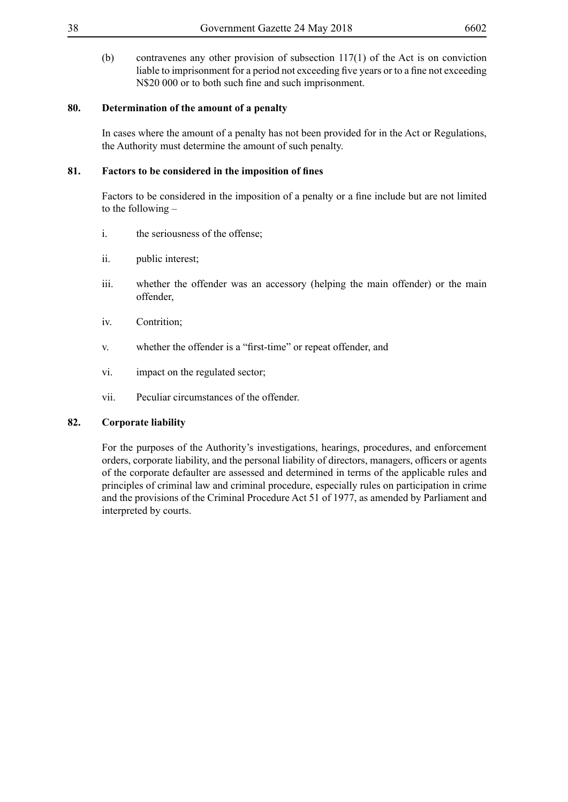(b) contravenes any other provision of subsection 117(1) of the Act is on conviction liable to imprisonment for a period not exceeding five years or to a fine not exceeding N\$20 000 or to both such fine and such imprisonment.

## **80. Determination of the amount of a penalty**

In cases where the amount of a penalty has not been provided for in the Act or Regulations, the Authority must determine the amount of such penalty.

## **81. Factors to be considered in the imposition of fines**

Factors to be considered in the imposition of a penalty or a fine include but are not limited to the following –

- i. the seriousness of the offense;
- ii. public interest;
- iii. whether the offender was an accessory (helping the main offender) or the main offender,
- iv. Contrition;
- v. whether the offender is a "first-time" or repeat offender, and
- vi. impact on the regulated sector;
- vii. Peculiar circumstances of the offender.

## **82. Corporate liability**

For the purposes of the Authority's investigations, hearings, procedures, and enforcement orders, corporate liability, and the personal liability of directors, managers, officers or agents of the corporate defaulter are assessed and determined in terms of the applicable rules and principles of criminal law and criminal procedure, especially rules on participation in crime and the provisions of the Criminal Procedure Act 51 of 1977, as amended by Parliament and interpreted by courts.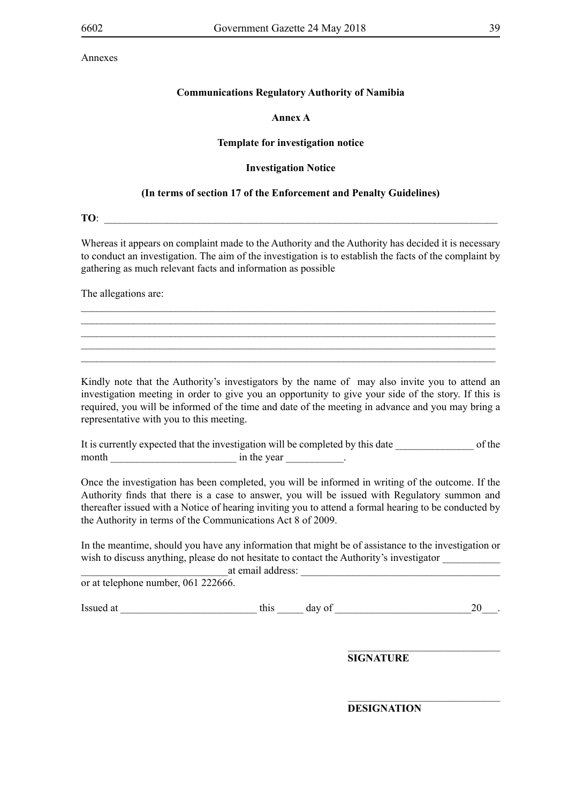#### **Annex A**

#### **Template for investigation notice**

#### **Investigation Notice**

#### **(In terms of section 17 of the Enforcement and Penalty Guidelines)**

**TO**:

Whereas it appears on complaint made to the Authority and the Authority has decided it is necessary to conduct an investigation. The aim of the investigation is to establish the facts of the complaint by gathering as much relevant facts and information as possible

\_\_\_\_\_\_\_\_\_\_\_\_\_\_\_\_\_\_\_\_\_\_\_\_\_\_\_\_\_\_\_\_\_\_\_\_\_\_\_\_\_\_\_\_\_\_\_\_\_\_\_\_\_\_\_\_\_\_\_\_\_\_\_\_\_\_\_\_\_\_\_\_\_\_\_\_\_\_\_ \_\_\_\_\_\_\_\_\_\_\_\_\_\_\_\_\_\_\_\_\_\_\_\_\_\_\_\_\_\_\_\_\_\_\_\_\_\_\_\_\_\_\_\_\_\_\_\_\_\_\_\_\_\_\_\_\_\_\_\_\_\_\_\_\_\_\_\_\_\_\_\_\_\_\_\_\_\_\_ \_\_\_\_\_\_\_\_\_\_\_\_\_\_\_\_\_\_\_\_\_\_\_\_\_\_\_\_\_\_\_\_\_\_\_\_\_\_\_\_\_\_\_\_\_\_\_\_\_\_\_\_\_\_\_\_\_\_\_\_\_\_\_\_\_\_\_\_\_\_\_\_\_\_\_\_\_\_\_  $\_$  , and the set of the set of the set of the set of the set of the set of the set of the set of the set of the set of the set of the set of the set of the set of the set of the set of the set of the set of the set of th  $\_$  , and the set of the set of the set of the set of the set of the set of the set of the set of the set of the set of the set of the set of the set of the set of the set of the set of the set of the set of the set of th

The allegations are:

Kindly note that the Authority's investigators by the name of may also invite you to attend an investigation meeting in order to give you an opportunity to give your side of the story. If this is required, you will be informed of the time and date of the meeting in advance and you may bring a representative with you to this meeting.

|       | It is currently expected that the investigation will be completed by this date | of the |  |
|-------|--------------------------------------------------------------------------------|--------|--|
| month | in the year                                                                    |        |  |

Once the investigation has been completed, you will be informed in writing of the outcome. If the Authority finds that there is a case to answer, you will be issued with Regulatory summon and thereafter issued with a Notice of hearing inviting you to attend a formal hearing to be conducted by the Authority in terms of the Communications Act 8 of 2009.

In the meantime, should you have any information that might be of assistance to the investigation or wish to discuss anything, please do not hesitate to contact the Authority's investigator

at email address:

or at telephone number, 061 222666.

Issued at this day of  $\frac{1}{20}$ .

**SIGNATURE**

\_\_\_\_\_\_\_\_\_\_\_\_\_\_\_\_\_\_\_\_\_\_\_\_\_\_\_\_\_

 $\_$ 

**DESIGNATION**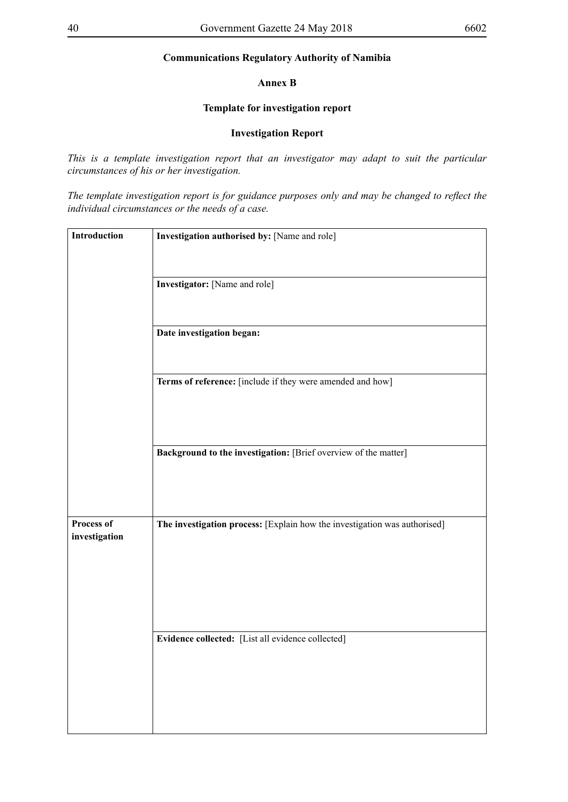#### **Annex B**

## **Template for investigation report**

#### **Investigation Report**

*This is a template investigation report that an investigator may adapt to suit the particular circumstances of his or her investigation.* 

*The template investigation report is for guidance purposes only and may be changed to reflect the individual circumstances or the needs of a case.*

| Introduction  | Investigation authorised by: [Name and role]                              |  |  |  |  |
|---------------|---------------------------------------------------------------------------|--|--|--|--|
|               |                                                                           |  |  |  |  |
|               |                                                                           |  |  |  |  |
|               | <b>Investigator:</b> [Name and role]                                      |  |  |  |  |
|               |                                                                           |  |  |  |  |
|               |                                                                           |  |  |  |  |
|               | Date investigation began:                                                 |  |  |  |  |
|               |                                                                           |  |  |  |  |
|               |                                                                           |  |  |  |  |
|               |                                                                           |  |  |  |  |
|               | Terms of reference: [include if they were amended and how]                |  |  |  |  |
|               |                                                                           |  |  |  |  |
|               |                                                                           |  |  |  |  |
|               |                                                                           |  |  |  |  |
|               | Background to the investigation: [Brief overview of the matter]           |  |  |  |  |
|               |                                                                           |  |  |  |  |
|               |                                                                           |  |  |  |  |
|               |                                                                           |  |  |  |  |
|               |                                                                           |  |  |  |  |
| Process of    | The investigation process: [Explain how the investigation was authorised] |  |  |  |  |
| investigation |                                                                           |  |  |  |  |
|               |                                                                           |  |  |  |  |
|               |                                                                           |  |  |  |  |
|               |                                                                           |  |  |  |  |
|               |                                                                           |  |  |  |  |
|               |                                                                           |  |  |  |  |
|               |                                                                           |  |  |  |  |
|               | Evidence collected: [List all evidence collected]                         |  |  |  |  |
|               |                                                                           |  |  |  |  |
|               |                                                                           |  |  |  |  |
|               |                                                                           |  |  |  |  |
|               |                                                                           |  |  |  |  |
|               |                                                                           |  |  |  |  |
|               |                                                                           |  |  |  |  |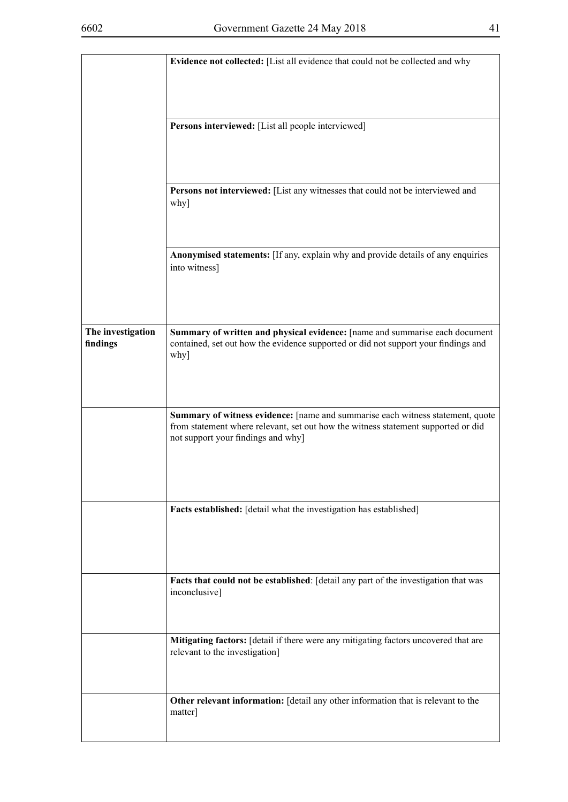|                               | Evidence not collected: [List all evidence that could not be collected and why                                                                                                                            |  |  |  |
|-------------------------------|-----------------------------------------------------------------------------------------------------------------------------------------------------------------------------------------------------------|--|--|--|
|                               |                                                                                                                                                                                                           |  |  |  |
|                               | Persons interviewed: [List all people interviewed]                                                                                                                                                        |  |  |  |
|                               | Persons not interviewed: [List any witnesses that could not be interviewed and                                                                                                                            |  |  |  |
|                               | why]                                                                                                                                                                                                      |  |  |  |
|                               | Anonymised statements: [If any, explain why and provide details of any enquiries<br>into witness]                                                                                                         |  |  |  |
| The investigation<br>findings | Summary of written and physical evidence: [name and summarise each document<br>contained, set out how the evidence supported or did not support your findings and<br>why]                                 |  |  |  |
|                               | Summary of witness evidence: [name and summarise each witness statement, quote<br>from statement where relevant, set out how the witness statement supported or did<br>not support your findings and why] |  |  |  |
|                               | Facts established: [detail what the investigation has established]                                                                                                                                        |  |  |  |
|                               | Facts that could not be established: [detail any part of the investigation that was<br>inconclusive]                                                                                                      |  |  |  |
|                               | Mitigating factors: [detail if there were any mitigating factors uncovered that are<br>relevant to the investigation]                                                                                     |  |  |  |
|                               | Other relevant information: [detail any other information that is relevant to the<br>matter]                                                                                                              |  |  |  |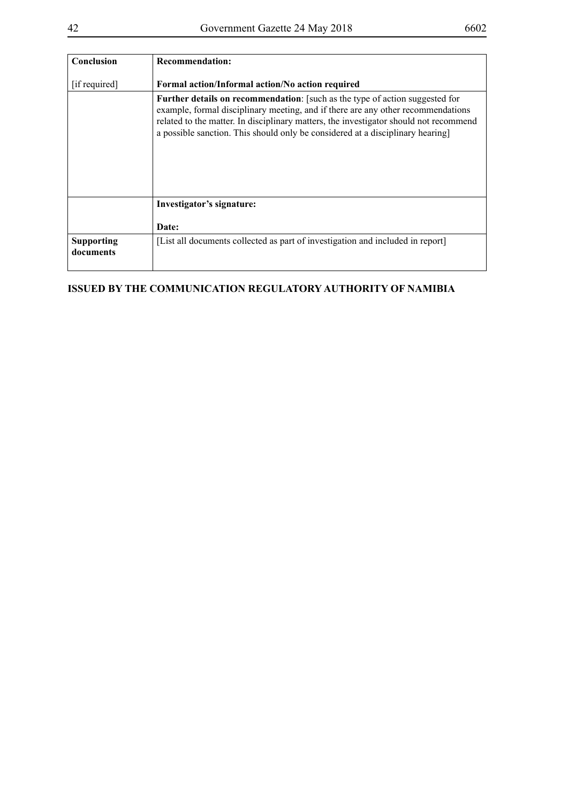| Conclusion                     | <b>Recommendation:</b>                                                                                                                                                                                                                                                                                                                     |
|--------------------------------|--------------------------------------------------------------------------------------------------------------------------------------------------------------------------------------------------------------------------------------------------------------------------------------------------------------------------------------------|
| [if required]                  | Formal action/Informal action/No action required                                                                                                                                                                                                                                                                                           |
|                                | Further details on recommendation: [such as the type of action suggested for<br>example, formal disciplinary meeting, and if there are any other recommendations<br>related to the matter. In disciplinary matters, the investigator should not recommend<br>a possible sanction. This should only be considered at a disciplinary hearing |
|                                | Investigator's signature:                                                                                                                                                                                                                                                                                                                  |
|                                | Date:                                                                                                                                                                                                                                                                                                                                      |
| <b>Supporting</b><br>documents | [List all documents collected as part of investigation and included in report]                                                                                                                                                                                                                                                             |

## **ISSUED BY THE COMMUNICATION REGULATORY AUTHORITY OF NAMIBIA**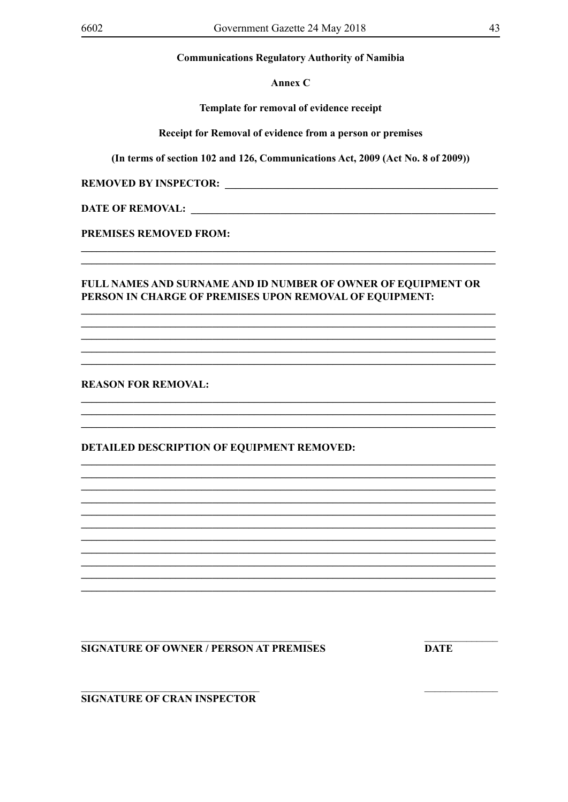Annex C

Template for removal of evidence receipt

Receipt for Removal of evidence from a person or premises

(In terms of section 102 and 126, Communications Act, 2009 (Act No. 8 of 2009))

DATE OF REMOVAL: LEARNING CONTROLLER CONTROLLER CONTROLLER CONTROLLER CONTROLLER CONTROLLER CONTROLLER CONTROLLER CONTROLLER CONTROLLER CONTROLLER CONTROLLER CONTROLLER CONTROLLER CONTROLLER CONTROLLER CONTROLLER CONTROLLE

**PREMISES REMOVED FROM:** 

## **FULL NAMES AND SURNAME AND ID NUMBER OF OWNER OF EQUIPMENT OR** PERSON IN CHARGE OF PREMISES UPON REMOVAL OF EQUIPMENT:

**REASON FOR REMOVAL:** 

**DETAILED DESCRIPTION OF EQUIPMENT REMOVED:** 

## **SIGNATURE OF OWNER / PERSON AT PREMISES**

**DATE** 

**SIGNATURE OF CRAN INSPECTOR**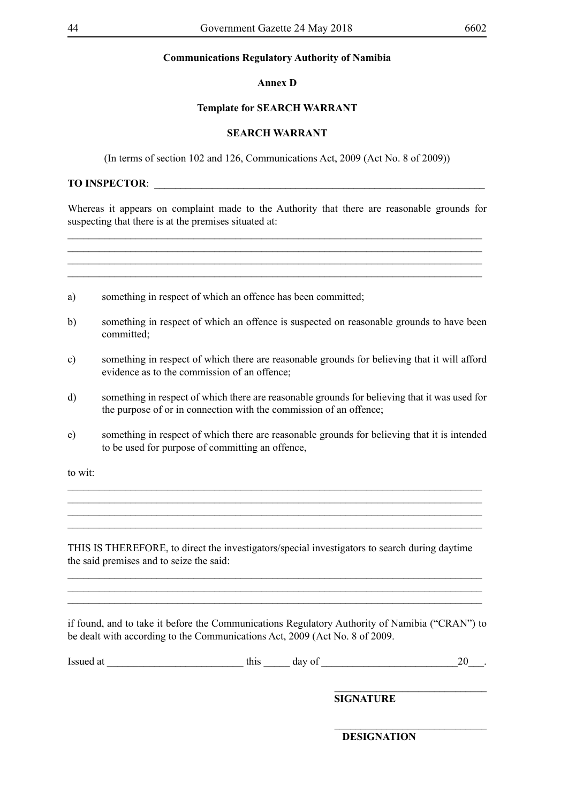#### **Annex D**

### **Template for SEARCH WARRANT**

### **SEARCH WARRANT**

(In terms of section 102 and 126, Communications Act, 2009 (Act No. 8 of 2009))

## **TO INSPECTOR**: \_\_\_\_\_\_\_\_\_\_\_\_\_\_\_\_\_\_\_\_\_\_\_\_\_\_\_\_\_\_\_\_\_\_\_\_\_\_\_\_\_\_\_\_\_\_\_\_\_\_\_\_\_\_\_\_\_\_\_\_\_\_\_

Whereas it appears on complaint made to the Authority that there are reasonable grounds for suspecting that there is at the premises situated at:

 $\_$  , and the set of the set of the set of the set of the set of the set of the set of the set of the set of the set of the set of the set of the set of the set of the set of the set of the set of the set of the set of th

\_\_\_\_\_\_\_\_\_\_\_\_\_\_\_\_\_\_\_\_\_\_\_\_\_\_\_\_\_\_\_\_\_\_\_\_\_\_\_\_\_\_\_\_\_\_\_\_\_\_\_\_\_\_\_\_\_\_\_\_\_\_\_\_\_\_\_\_\_\_\_\_\_\_\_\_\_\_\_

| to wit:  |                                                                                                                                                                     |
|----------|---------------------------------------------------------------------------------------------------------------------------------------------------------------------|
| e)       | something in respect of which there are reasonable grounds for believing that it is intended<br>to be used for purpose of committing an offence,                    |
| $\rm d)$ | something in respect of which there are reasonable grounds for believing that it was used for<br>the purpose of or in connection with the commission of an offence; |
| c)       | something in respect of which there are reasonable grounds for believing that it will afford<br>evidence as to the commission of an offence;                        |
| b)       | something in respect of which an offence is suspected on reasonable grounds to have been<br>committed;                                                              |
| a)       | something in respect of which an offence has been committed;                                                                                                        |
|          |                                                                                                                                                                     |

THIS IS THEREFORE, to direct the investigators/special investigators to search during daytime the said premises and to seize the said:

\_\_\_\_\_\_\_\_\_\_\_\_\_\_\_\_\_\_\_\_\_\_\_\_\_\_\_\_\_\_\_\_\_\_\_\_\_\_\_\_\_\_\_\_\_\_\_\_\_\_\_\_\_\_\_\_\_\_\_\_\_\_\_\_\_\_\_\_\_\_\_\_\_\_\_\_\_\_\_  $\mathcal{L}_\mathcal{L} = \mathcal{L}_\mathcal{L} = \mathcal{L}_\mathcal{L} = \mathcal{L}_\mathcal{L} = \mathcal{L}_\mathcal{L} = \mathcal{L}_\mathcal{L} = \mathcal{L}_\mathcal{L} = \mathcal{L}_\mathcal{L} = \mathcal{L}_\mathcal{L} = \mathcal{L}_\mathcal{L} = \mathcal{L}_\mathcal{L} = \mathcal{L}_\mathcal{L} = \mathcal{L}_\mathcal{L} = \mathcal{L}_\mathcal{L} = \mathcal{L}_\mathcal{L} = \mathcal{L}_\mathcal{L} = \mathcal{L}_\mathcal{L}$  $\_$  , and the set of the set of the set of the set of the set of the set of the set of the set of the set of the set of the set of the set of the set of the set of the set of the set of the set of the set of the set of th

\_\_\_\_\_\_\_\_\_\_\_\_\_\_\_\_\_\_\_\_\_\_\_\_\_\_\_\_\_\_\_\_\_\_\_\_\_\_\_\_\_\_\_\_\_\_\_\_\_\_\_\_\_\_\_\_\_\_\_\_\_\_\_\_\_\_\_\_\_\_\_\_\_\_\_\_\_\_\_

 $\_$  , and the set of the set of the set of the set of the set of the set of the set of the set of the set of the set of the set of the set of the set of the set of the set of the set of the set of the set of the set of th

 $\mathcal{L}_\text{max}$ 

if found, and to take it before the Communications Regulatory Authority of Namibia ("CRAN") to be dealt with according to the Communications Act, 2009 (Act No. 8 of 2009.

| -<br>Issu<br>70 L | $\epsilon$ h $\epsilon$<br> | - |  |
|-------------------|-----------------------------|---|--|
|                   |                             |   |  |

**SIGNATURE**

**DESIGNATION**

\_\_\_\_\_\_\_\_\_\_\_\_\_\_\_\_\_\_\_\_\_\_\_\_\_\_\_\_\_

\_\_\_\_\_\_\_\_\_\_\_\_\_\_\_\_\_\_\_\_\_\_\_\_\_\_\_\_\_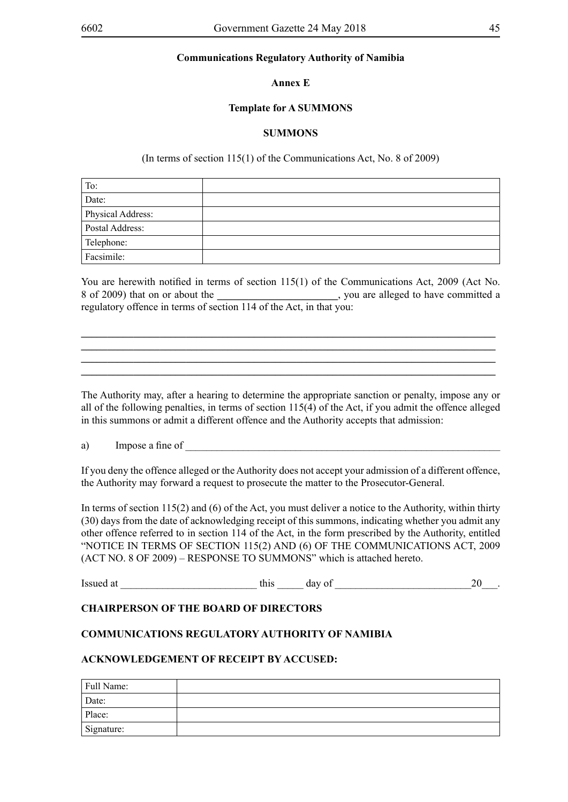**Annex E**

#### **Template for A SUMMONS**

#### **SUMMONS**

(In terms of section 115(1) of the Communications Act, No. 8 of 2009)

| To:               |  |
|-------------------|--|
| Date:             |  |
| Physical Address: |  |
| Postal Address:   |  |
| Telephone:        |  |
| Facsimile:        |  |

You are herewith notified in terms of section 115(1) of the Communications Act, 2009 (Act No. 8 of 2009) that on or about the **\_\_\_\_\_\_\_\_\_\_\_\_\_\_\_\_\_\_\_\_\_\_\_**, you are alleged to have committed a regulatory offence in terms of section 114 of the Act, in that you:

**\_\_\_\_\_\_\_\_\_\_\_\_\_\_\_\_\_\_\_\_\_\_\_\_\_\_\_\_\_\_\_\_\_\_\_\_\_\_\_\_\_\_\_\_\_\_\_\_\_\_\_\_\_\_\_\_\_\_\_\_\_\_\_\_\_\_\_\_\_\_\_\_\_\_\_\_\_\_\_ \_\_\_\_\_\_\_\_\_\_\_\_\_\_\_\_\_\_\_\_\_\_\_\_\_\_\_\_\_\_\_\_\_\_\_\_\_\_\_\_\_\_\_\_\_\_\_\_\_\_\_\_\_\_\_\_\_\_\_\_\_\_\_\_\_\_\_\_\_\_\_\_\_\_\_\_\_\_\_ \_\_\_\_\_\_\_\_\_\_\_\_\_\_\_\_\_\_\_\_\_\_\_\_\_\_\_\_\_\_\_\_\_\_\_\_\_\_\_\_\_\_\_\_\_\_\_\_\_\_\_\_\_\_\_\_\_\_\_\_\_\_\_\_\_\_\_\_\_\_\_\_\_\_\_\_\_\_\_ \_\_\_\_\_\_\_\_\_\_\_\_\_\_\_\_\_\_\_\_\_\_\_\_\_\_\_\_\_\_\_\_\_\_\_\_\_\_\_\_\_\_\_\_\_\_\_\_\_\_\_\_\_\_\_\_\_\_\_\_\_\_\_\_\_\_\_\_\_\_\_\_\_\_\_\_\_\_\_**

The Authority may, after a hearing to determine the appropriate sanction or penalty, impose any or all of the following penalties, in terms of section 115(4) of the Act, if you admit the offence alleged in this summons or admit a different offence and the Authority accepts that admission:

a) Impose a fine of

If you deny the offence alleged or the Authority does not accept your admission of a different offence, the Authority may forward a request to prosecute the matter to the Prosecutor-General.

In terms of section 115(2) and (6) of the Act, you must deliver a notice to the Authority, within thirty (30) days from the date of acknowledging receipt of this summons, indicating whether you admit any other offence referred to in section 114 of the Act, in the form prescribed by the Authority, entitled "NOTICE IN TERMS OF SECTION 115(2) AND (6) OF THE COMMUNICATIONS ACT, 2009 (ACT NO. 8 OF 2009) – RESPONSE TO SUMMONS" which is attached hereto.

Issued at this day of  $\frac{1}{20}$ .

## **CHAIRPERSON OF THE BOARD OF DIRECTORS**

## **COMMUNICATIONS REGULATORY AUTHORITY OF NAMIBIA**

#### **ACKNOWLEDGEMENT OF RECEIPT BY ACCUSED:**

| Full Name: |  |
|------------|--|
| Date:      |  |
| Place:     |  |
| Signature: |  |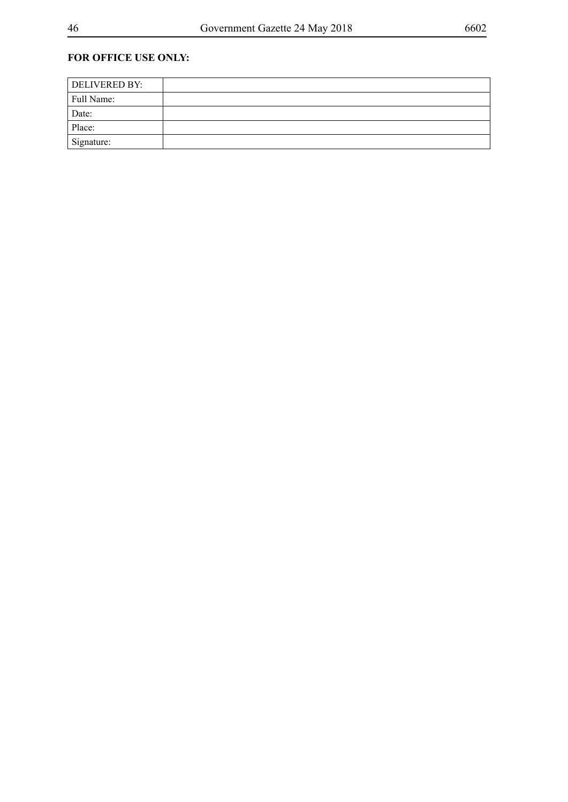## **FOR OFFICE USE ONLY:**

| <b>DELIVERED BY:</b> |  |
|----------------------|--|
| Full Name:           |  |
| Date:                |  |
| Place:               |  |
| Signature:           |  |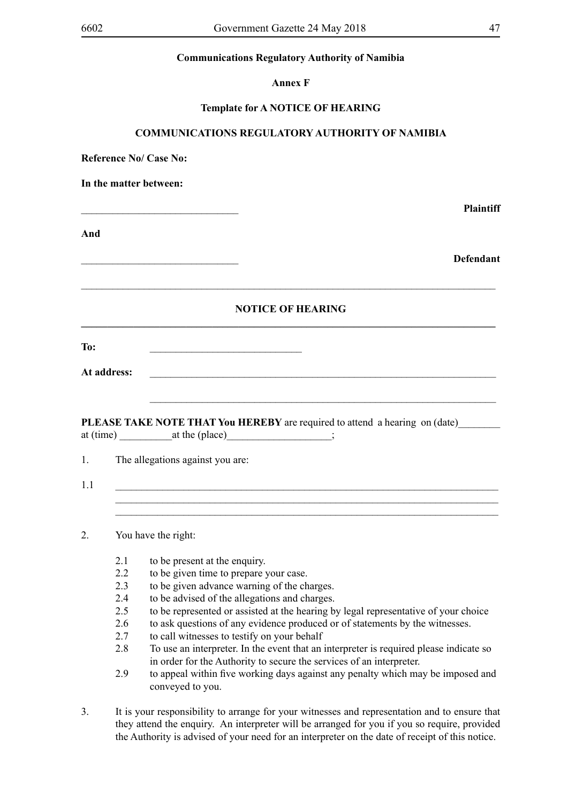**Annex F**

### **Template for A NOTICE OF HEARING**

## **COMMUNICATIONS REGULATORY AUTHORITY OF NAMIBIA**

**Reference No/ Case No:** 

**In the matter between:**

**And**

\_\_\_\_\_\_\_\_\_\_\_\_\_\_\_\_\_\_\_\_\_\_\_\_\_\_\_\_\_\_ **Plaintiff**

\_\_\_\_\_\_\_\_\_\_\_\_\_\_\_\_\_\_\_\_\_\_\_\_\_\_\_\_\_\_ **Defendant**

## **NOTICE OF HEARING \_\_\_\_\_\_\_\_\_\_\_\_\_\_\_\_\_\_\_\_\_\_\_\_\_\_\_\_\_\_\_\_\_\_\_\_\_\_\_\_\_\_\_\_\_\_\_\_\_\_\_\_\_\_\_\_\_\_\_\_\_\_\_\_\_\_\_\_\_\_\_\_\_\_\_\_\_\_\_**

 $\_$  , and the set of the set of the set of the set of the set of the set of the set of the set of the set of the set of the set of the set of the set of the set of the set of the set of the set of the set of the set of th

**To:** \_\_\_\_\_\_\_\_\_\_\_\_\_\_\_\_\_\_\_\_\_\_\_\_\_\_\_\_\_

| At address: |  |
|-------------|--|
|             |  |

PLEASE TAKE NOTE THAT You HEREBY are required to attend a hearing on (date) at (time) at the (place)  $\qquad \qquad$  ;

 $\mathcal{L}_\mathcal{L} = \mathcal{L}_\mathcal{L} = \mathcal{L}_\mathcal{L} = \mathcal{L}_\mathcal{L} = \mathcal{L}_\mathcal{L} = \mathcal{L}_\mathcal{L} = \mathcal{L}_\mathcal{L} = \mathcal{L}_\mathcal{L} = \mathcal{L}_\mathcal{L} = \mathcal{L}_\mathcal{L} = \mathcal{L}_\mathcal{L} = \mathcal{L}_\mathcal{L} = \mathcal{L}_\mathcal{L} = \mathcal{L}_\mathcal{L} = \mathcal{L}_\mathcal{L} = \mathcal{L}_\mathcal{L} = \mathcal{L}_\mathcal{L}$ 

1. The allegations against you are:

1.1 \_\_\_\_\_\_\_\_\_\_\_\_\_\_\_\_\_\_\_\_\_\_\_\_\_\_\_\_\_\_\_\_\_\_\_\_\_\_\_\_\_\_\_\_\_\_\_\_\_\_\_\_\_\_\_\_\_\_\_\_\_\_\_\_\_\_\_\_\_\_\_\_\_ \_\_\_\_\_\_\_\_\_\_\_\_\_\_\_\_\_\_\_\_\_\_\_\_\_\_\_\_\_\_\_\_\_\_\_\_\_\_\_\_\_\_\_\_\_\_\_\_\_\_\_\_\_\_\_\_\_\_\_\_\_\_\_\_\_\_\_\_\_\_\_\_\_ \_\_\_\_\_\_\_\_\_\_\_\_\_\_\_\_\_\_\_\_\_\_\_\_\_\_\_\_\_\_\_\_\_\_\_\_\_\_\_\_\_\_\_\_\_\_\_\_\_\_\_\_\_\_\_\_\_\_\_\_\_\_\_\_\_\_\_\_\_\_\_\_\_

2. You have the right:

- 2.1 to be present at the enquiry.
- 2.2 to be given time to prepare your case.
- 2.3 to be given advance warning of the charges.
- 2.4 to be advised of the allegations and charges.
- 2.5 to be represented or assisted at the hearing by legal representative of your choice
- 2.6 to ask questions of any evidence produced or of statements by the witnesses.
- 2.7 to call witnesses to testify on your behalf
- 2.8 To use an interpreter. In the event that an interpreter is required please indicate so in order for the Authority to secure the services of an interpreter.
- 2.9 to appeal within five working days against any penalty which may be imposed and conveyed to you.
- 3. It is your responsibility to arrange for your witnesses and representation and to ensure that they attend the enquiry. An interpreter will be arranged for you if you so require, provided the Authority is advised of your need for an interpreter on the date of receipt of this notice.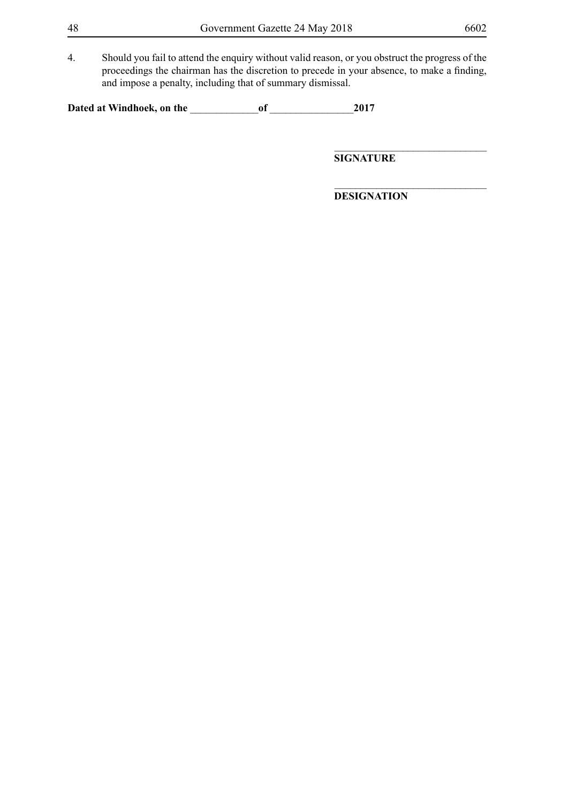4. Should you fail to attend the enquiry without valid reason, or you obstruct the progress of the proceedings the chairman has the discretion to precede in your absence, to make a finding, and impose a penalty, including that of summary dismissal.

**Dated at Windhoek, on the** \_\_\_\_\_\_\_\_\_\_\_\_\_**of** \_\_\_\_\_\_\_\_\_\_\_\_\_\_\_\_**2017**

**SIGNATURE**

**DESIGNATION**

\_\_\_\_\_\_\_\_\_\_\_\_\_\_\_\_\_\_\_\_\_\_\_\_\_\_\_\_\_

 $\_$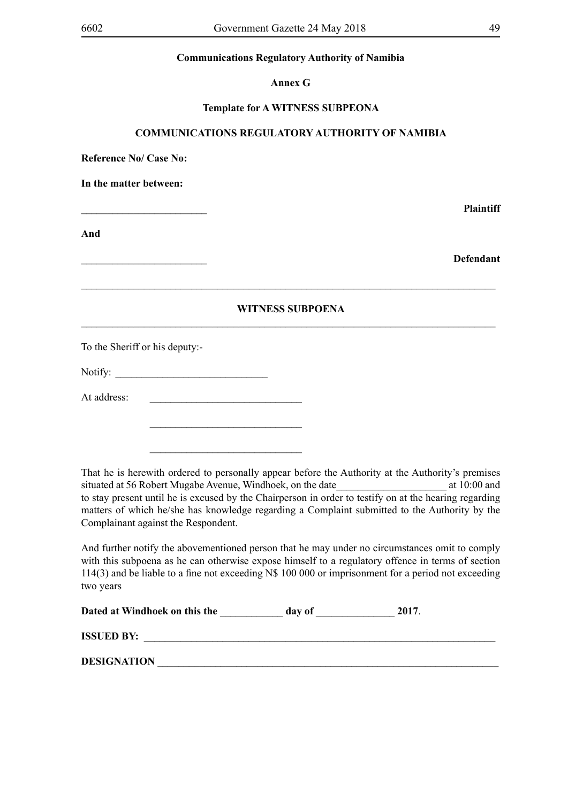**Annex G**

#### **Template for A WITNESS SUBPEONA**

#### **COMMUNICATIONS REGULATORY AUTHORITY OF NAMIBIA**

**Reference No/ Case No:** 

**In the matter between:**

\_\_\_\_\_\_\_\_\_\_\_\_\_\_\_\_\_\_\_\_\_\_\_\_ **Plaintiff**

**And**

\_\_\_\_\_\_\_\_\_\_\_\_\_\_\_\_\_\_\_\_\_\_\_\_ **Defendant**

## **WITNESS SUBPOENA \_\_\_\_\_\_\_\_\_\_\_\_\_\_\_\_\_\_\_\_\_\_\_\_\_\_\_\_\_\_\_\_\_\_\_\_\_\_\_\_\_\_\_\_\_\_\_\_\_\_\_\_\_\_\_\_\_\_\_\_\_\_\_\_\_\_\_\_\_\_\_\_\_\_\_\_\_\_\_**

 $\_$  , and the set of the set of the set of the set of the set of the set of the set of the set of the set of the set of the set of the set of the set of the set of the set of the set of the set of the set of the set of th

To the Sheriff or his deputy:-

Notify:

At address:

 $\mathcal{L}_\text{max}$  and  $\mathcal{L}_\text{max}$  and  $\mathcal{L}_\text{max}$  and  $\mathcal{L}_\text{max}$ 

 $\mathcal{L}_\text{max}$  and  $\mathcal{L}_\text{max}$  and  $\mathcal{L}_\text{max}$  and  $\mathcal{L}_\text{max}$ 

That he is herewith ordered to personally appear before the Authority at the Authority's premises situated at 56 Robert Mugabe Avenue, Windhoek, on the date at 10:00 and at 10:00 and to stay present until he is excused by the Chairperson in order to testify on at the hearing regarding matters of which he/she has knowledge regarding a Complaint submitted to the Authority by the Complainant against the Respondent.

And further notify the abovementioned person that he may under no circumstances omit to comply with this subpoena as he can otherwise expose himself to a regulatory offence in terms of section 114(3) and be liable to a fine not exceeding N\$ 100 000 or imprisonment for a period not exceeding two years

| Dated at Windhoek on this the | day of | 2017 |
|-------------------------------|--------|------|
|-------------------------------|--------|------|

| <b>ISSUED BY:</b>  |  |  |  |
|--------------------|--|--|--|
| <b>DESIGNATION</b> |  |  |  |